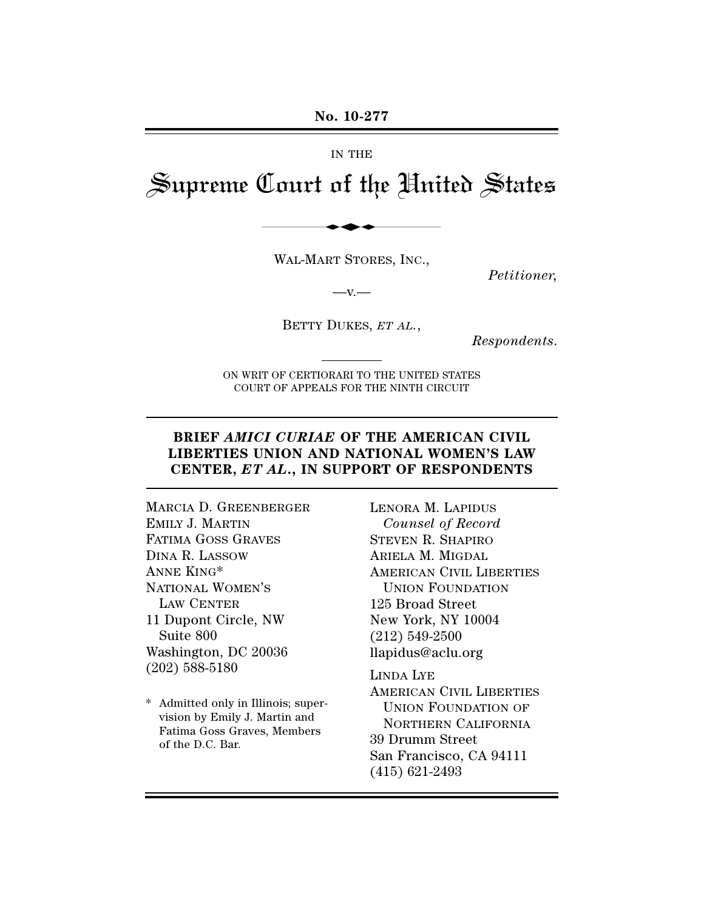#### IN THE

# Supreme Court of the United States IN THE<br>
In THE<br>
Lourt of the Hni

WAL-MART STORES, INC.,

*Petitioner,*

 $-V.$ 

BETTY DUKES, *ET AL.*,

*Respondents*.

ON WRIT OF CERTIORARI TO THE UNITED STATES COURT OF APPEALS FOR THE NINTH CIRCUIT

#### **BRIEF** *AMICI CURIAE* **OF THE AMERICAN CIVIL LIBERTIES UNION AND NATIONAL WOMEN'S LAW CENTER,** *ET AL***., IN SUPPORT OF RESPONDENTS**

MARCIA D. GREENBERGER EMILY J. MARTIN FATIMA GOSS GRAVES DINA R. LASSOW ANNE KING\* NATIONAL WOMEN'S LAW CENTER 11 Dupont Circle, NW Suite 800 Washington, DC 20036 (202) 588-5180

\* Admitted only in Illinois; supervision by Emily J. Martin and Fatima Goss Graves, Members of the D.C. Bar.

LENORA M. LAPIDUS *Counsel of Record* STEVEN R. SHAPIRO ARIELA M. MIGDAL AMERICAN CIVIL LIBERTIES UNION FOUNDATION 125 Broad Street New York, NY 10004 (212) 549-2500 llapidus@aclu.org

LINDA LYE AMERICAN CIVIL LIBERTIES UNION FOUNDATION OF NORTHERN CALIFORNIA 39 Drumm Street San Francisco, CA 94111 (415) 621-2493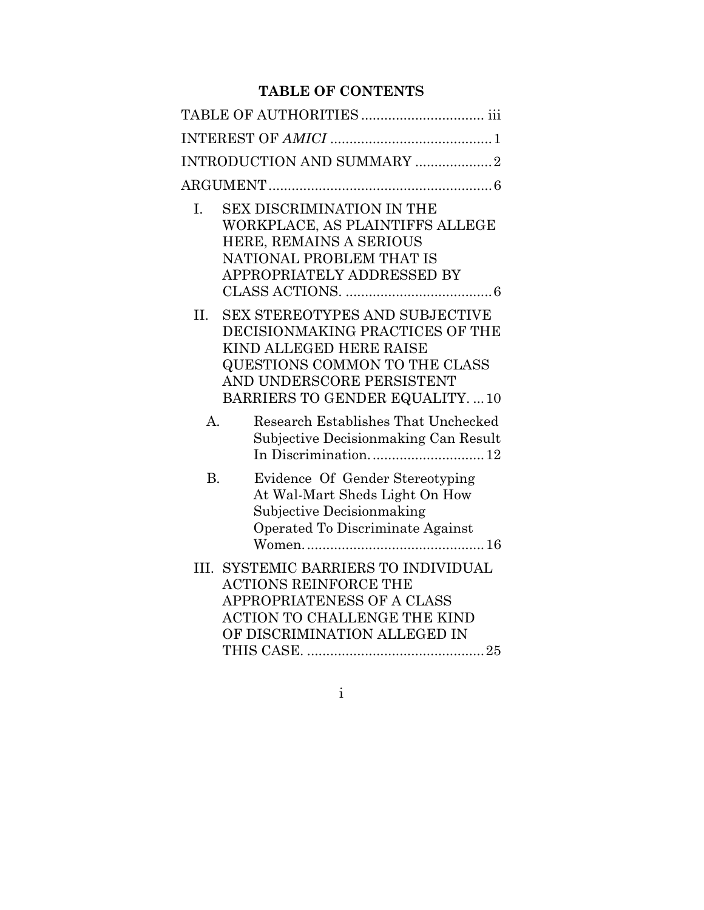# **TABLE OF CONTENTS**

| L.             | <b>SEX DISCRIMINATION IN THE</b><br>WORKPLACE, AS PLAINTIFFS ALLEGE<br>HERE, REMAINS A SERIOUS<br>NATIONAL PROBLEM THAT IS<br>APPROPRIATELY ADDRESSED BY                                           |
|----------------|----------------------------------------------------------------------------------------------------------------------------------------------------------------------------------------------------|
| II.            | <b>SEX STEREOTYPES AND SUBJECTIVE</b><br>DECISIONMAKING PRACTICES OF THE<br>KIND ALLEGED HERE RAISE<br>QUESTIONS COMMON TO THE CLASS<br>AND UNDERSCORE PERSISTENT<br>BARRIERS TO GENDER EQUALITY10 |
| $\mathbf{A}$ . | Research Establishes That Unchecked<br>Subjective Decisionmaking Can Result<br>In Discrimination12                                                                                                 |
| <b>B.</b>      | Evidence Of Gender Stereotyping<br>At Wal-Mart Sheds Light On How<br>Subjective Decisionmaking<br>Operated To Discriminate Against                                                                 |
|                | III. SYSTEMIC BARRIERS TO INDIVIDUAL<br><b>ACTIONS REINFORCE THE</b><br>APPROPRIATENESS OF A CLASS<br><b>ACTION TO CHALLENGE THE KIND</b><br>OF DISCRIMINATION ALLEGED IN                          |

i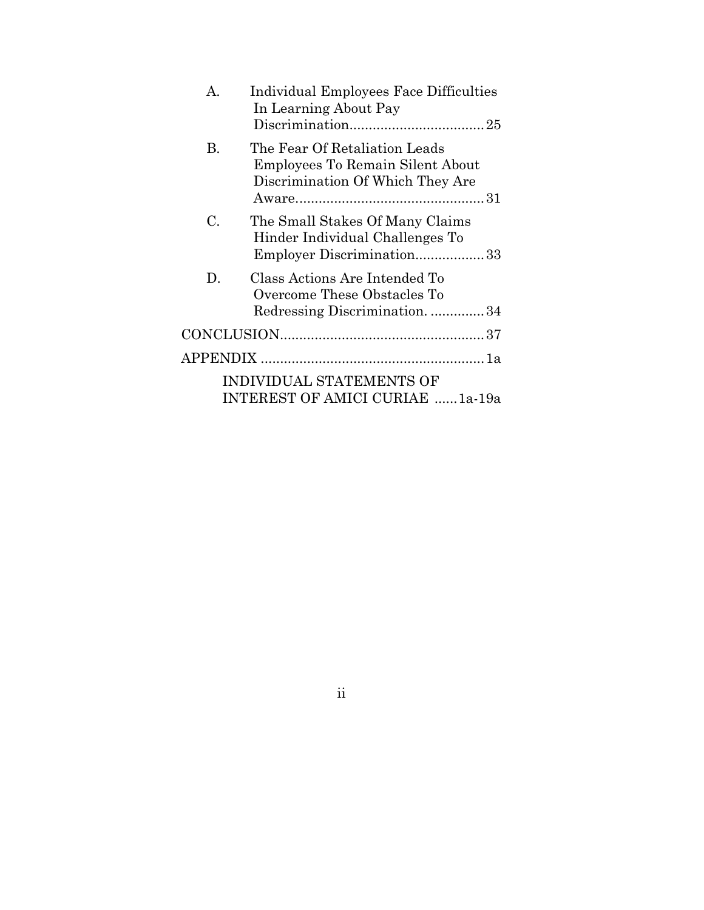| $\mathsf{A}$ | Individual Employees Face Difficulties<br>In Learning About Pay                                       |
|--------------|-------------------------------------------------------------------------------------------------------|
| Β.           | The Fear Of Retaliation Leads<br>Employees To Remain Silent About<br>Discrimination Of Which They Are |
| C.           | The Small Stakes Of Many Claims<br>Hinder Individual Challenges To<br>Employer Discrimination33       |
| D.           | Class Actions Are Intended To<br>Overcome These Obstacles To<br>Redressing Discrimination34           |
|              |                                                                                                       |
|              |                                                                                                       |
|              | <b>INDIVIDUAL STATEMENTS OF</b><br><b>INTEREST OF AMICI CURIAE 1a-19a</b>                             |

ii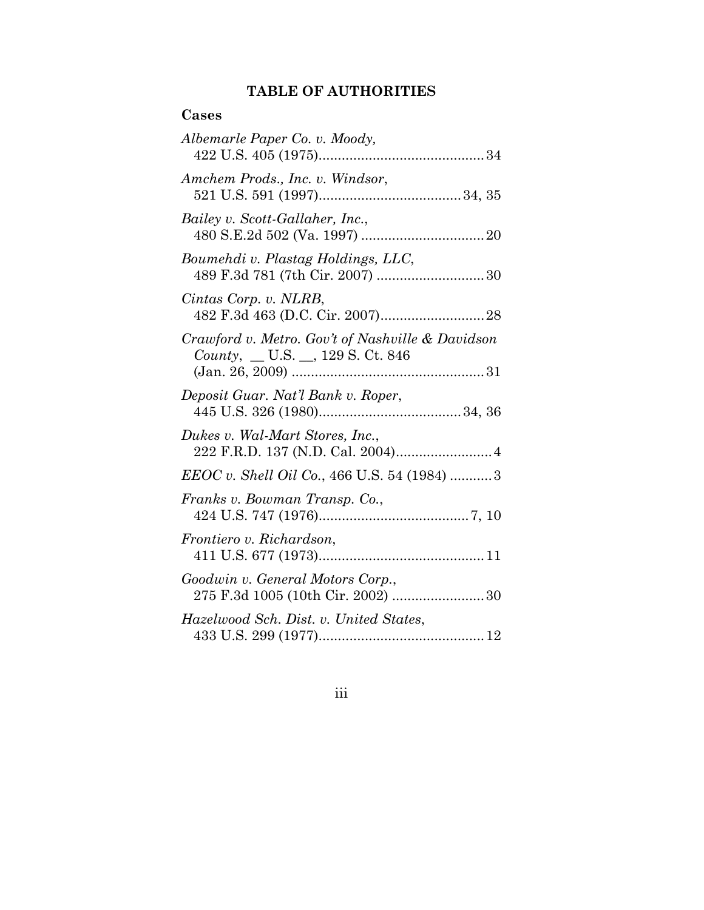# **TABLE OF AUTHORITIES**

# **Cases**

| Albemarle Paper Co. v. Moody,                                                        |
|--------------------------------------------------------------------------------------|
| Amchem Prods., Inc. v. Windsor,                                                      |
| Bailey v. Scott-Gallaher, Inc.,                                                      |
| Boumehdi v. Plastag Holdings, LLC,                                                   |
| Cintas Corp. v. NLRB,                                                                |
| Crawford v. Metro. Gov't of Nashville & Davidson<br>County, _ U.S. _, 129 S. Ct. 846 |
| Deposit Guar. Nat'l Bank v. Roper,                                                   |
| Dukes v. Wal-Mart Stores, Inc.,                                                      |
| <i>EEOC v. Shell Oil Co., 466 U.S. 54 (1984) </i> 3                                  |
| Franks v. Bowman Transp. Co.,                                                        |
| Frontiero v. Richardson,                                                             |
| Goodwin v. General Motors Corp.,<br>275 F.3d 1005 (10th Cir. 2002) 30                |
| Hazelwood Sch. Dist. v. United States,                                               |

iii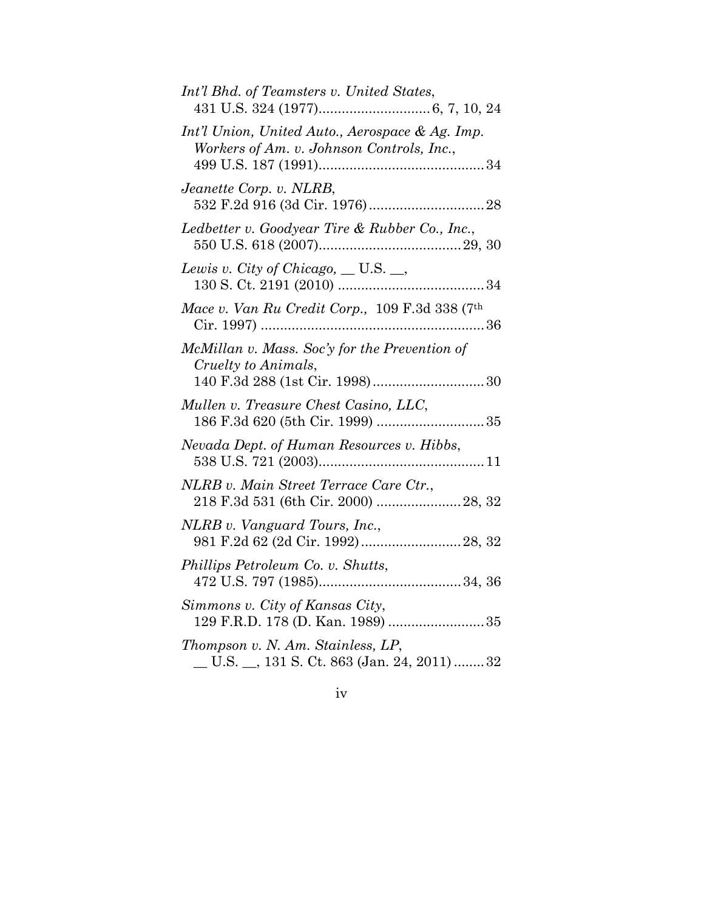| Int'l Bhd. of Teamsters v. United States,                                                    |
|----------------------------------------------------------------------------------------------|
| Int'l Union, United Auto., Aerospace & Ag. Imp.<br>Workers of Am. v. Johnson Controls, Inc., |
| Jeanette Corp. v. NLRB,                                                                      |
| Ledbetter v. Goodyear Tire & Rubber Co., Inc.,                                               |
| Lewis v. City of Chicago, $\_\_$ U.S. $\_\_$                                                 |
| Mace v. Van Ru Credit Corp., 109 F.3d 338 (7th                                               |
| McMillan v. Mass. Soc'y for the Prevention of<br>Cruelty to Animals,                         |
| Mullen v. Treasure Chest Casino, LLC,                                                        |
| Nevada Dept. of Human Resources v. Hibbs,                                                    |
| NLRB v. Main Street Terrace Care Ctr.,<br>218 F.3d 531 (6th Cir. 2000)  28, 32               |
| NLRB v. Vanguard Tours, Inc.,                                                                |
| Phillips Petroleum Co. v. Shutts,                                                            |
| Simmons v. City of Kansas City,<br>129 F.R.D. 178 (D. Kan. 1989)  35                         |
| Thompson v. N. Am. Stainless, LP,<br>U.S. _, 131 S. Ct. 863 (Jan. 24, 2011) 32               |

iv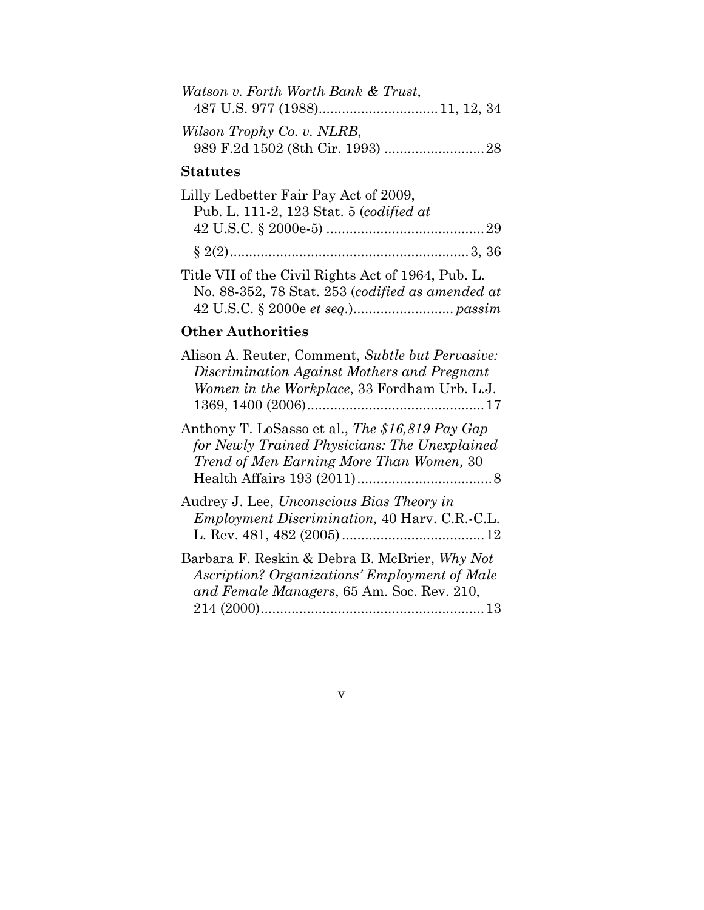| Watson v. Forth Worth Bank & Trust, |  |
|-------------------------------------|--|
|                                     |  |
| Wilson Trophy Co. v. NLRB,          |  |

|--|--|--|--|

# **Statutes**

| Lilly Ledbetter Fair Pay Act of 2009,              |  |
|----------------------------------------------------|--|
| Pub. L. 111-2, 123 Stat. 5 (codified at            |  |
|                                                    |  |
|                                                    |  |
| Title VII of the Civil Rights Act of 1964, Pub. L. |  |
| No. 88-352, 78 Stat. 253 (codified as amended at   |  |

42 U.S.C. § 2000e *et seq.*).......................... *passim* 

# **Other Authorities**

| Alison A. Reuter, Comment, Subtle but Pervasive:                                                                                             |
|----------------------------------------------------------------------------------------------------------------------------------------------|
| Discrimination Against Mothers and Pregnant                                                                                                  |
| Women in the Workplace, 33 Fordham Urb. L.J.                                                                                                 |
|                                                                                                                                              |
| Anthony T. LoSasso et al., The \$16,819 Pay Gap<br>for Newly Trained Physicians: The Unexplained<br>Trend of Men Earning More Than Women, 30 |
| Audrey J. Lee, <i>Unconscious Bias Theory in</i>                                                                                             |
| <i>Employment Discrimination</i> , 40 Harv. C.R.-C.L.                                                                                        |
| Barbara F. Reskin & Debra B. McBrier, Why Not<br>Ascription? Organizations' Employment of Male<br>and Female Managers, 65 Am. Soc. Rev. 210, |
|                                                                                                                                              |

v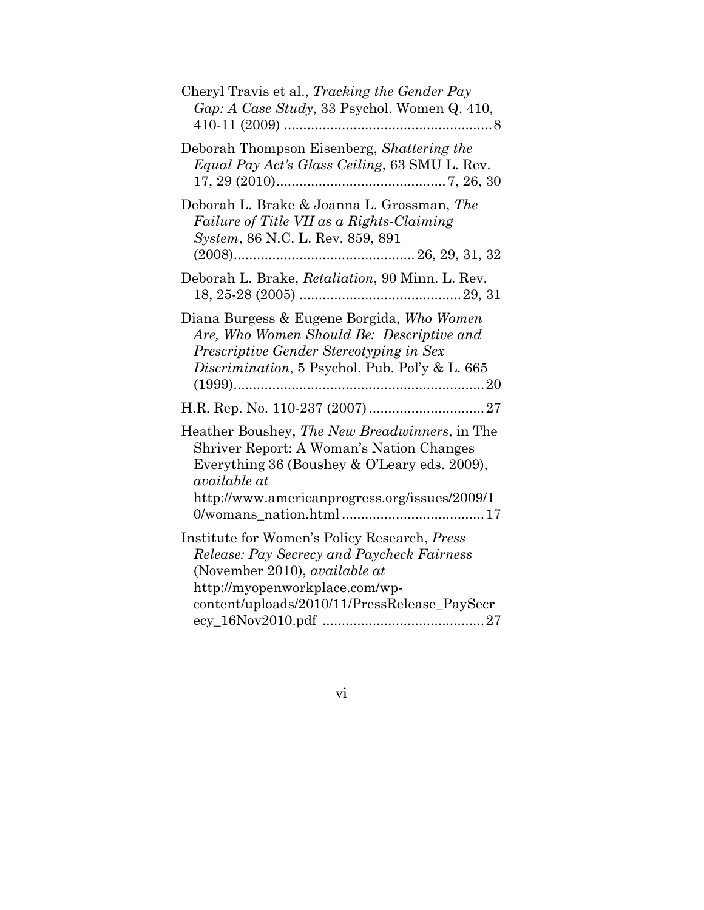| Cheryl Travis et al., Tracking the Gender Pay<br>Gap: A Case Study, 33 Psychol. Women Q. 410,                                                                                                                        |
|----------------------------------------------------------------------------------------------------------------------------------------------------------------------------------------------------------------------|
| Deborah Thompson Eisenberg, Shattering the<br>Equal Pay Act's Glass Ceiling, 63 SMU L. Rev.                                                                                                                          |
| Deborah L. Brake & Joanna L. Grossman, The<br>Failure of Title VII as a Rights-Claiming<br><i>System, 86 N.C. L. Rev. 859, 891</i>                                                                                   |
| Deborah L. Brake, Retaliation, 90 Minn. L. Rev.                                                                                                                                                                      |
| Diana Burgess & Eugene Borgida, Who Women<br>Are, Who Women Should Be: Descriptive and<br>Prescriptive Gender Stereotyping in Sex<br>Discrimination, 5 Psychol. Pub. Pol'y & L. 665                                  |
|                                                                                                                                                                                                                      |
| Heather Boushey, The New Breadwinners, in The<br>Shriver Report: A Woman's Nation Changes<br>Everything 36 (Boushey $& O'$ Leary eds. 2009),<br>available at<br>http://www.americanprogress.org/issues/2009/1        |
| Institute for Women's Policy Research, Press<br>Release: Pay Secrecy and Paycheck Fairness<br>(November 2010), <i>available at</i><br>http://myopenworkplace.com/wp-<br>content/uploads/2010/11/PressRelease_PaySecr |

vi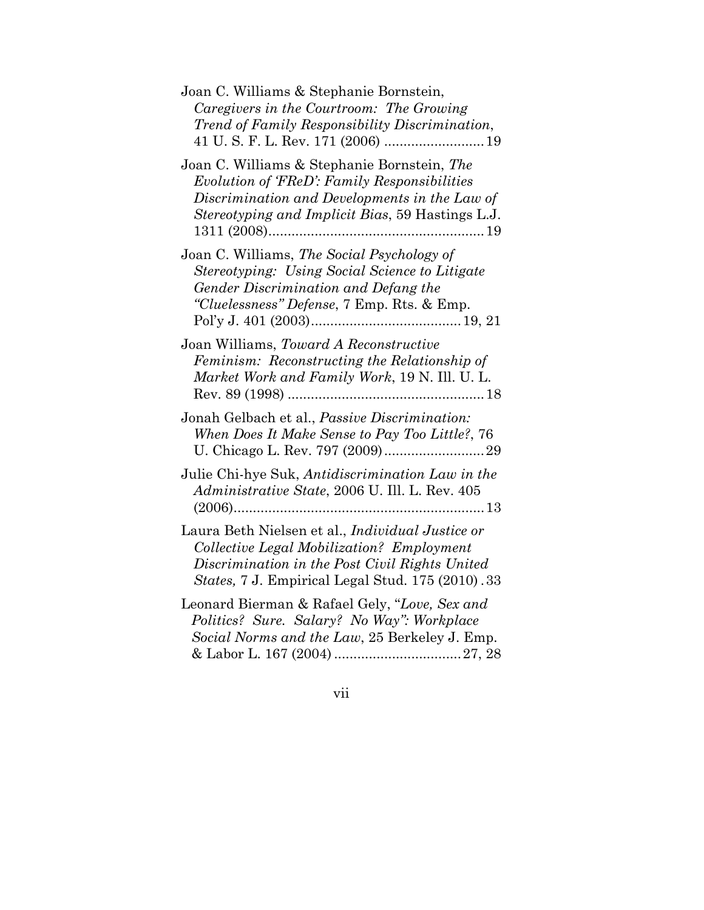| Joan C. Williams & Stephanie Bornstein,<br>Caregivers in the Courtroom: The Growing<br>Trend of Family Responsibility Discrimination,                                                                |
|------------------------------------------------------------------------------------------------------------------------------------------------------------------------------------------------------|
| Joan C. Williams & Stephanie Bornstein, The<br>Evolution of 'FReD': Family Responsibilities<br>Discrimination and Developments in the Law of<br>Stereotyping and Implicit Bias, 59 Hastings L.J.     |
| Joan C. Williams, The Social Psychology of<br>Stereotyping: Using Social Science to Litigate<br>Gender Discrimination and Defang the<br>"Cluelessness" Defense, 7 Emp. Rts. & Emp.                   |
| Joan Williams, Toward A Reconstructive<br>Feminism: Reconstructing the Relationship of<br>Market Work and Family Work, 19 N. Ill. U. L.                                                              |
| Jonah Gelbach et al., Passive Discrimination:<br>When Does It Make Sense to Pay Too Little?, 76                                                                                                      |
| Julie Chi-hye Suk, Antidiscrimination Law in the<br>Administrative State, 2006 U. Ill. L. Rev. 405                                                                                                   |
| Laura Beth Nielsen et al., Individual Justice or<br>Collective Legal Mobilization? Employment<br>Discrimination in the Post Civil Rights United<br>States, 7 J. Empirical Legal Stud. 175 (2010). 33 |
| Leonard Bierman & Rafael Gely, "Love, Sex and<br>Politics? Sure. Salary? No Way": Workplace<br>Social Norms and the Law, 25 Berkeley J. Emp.                                                         |

vii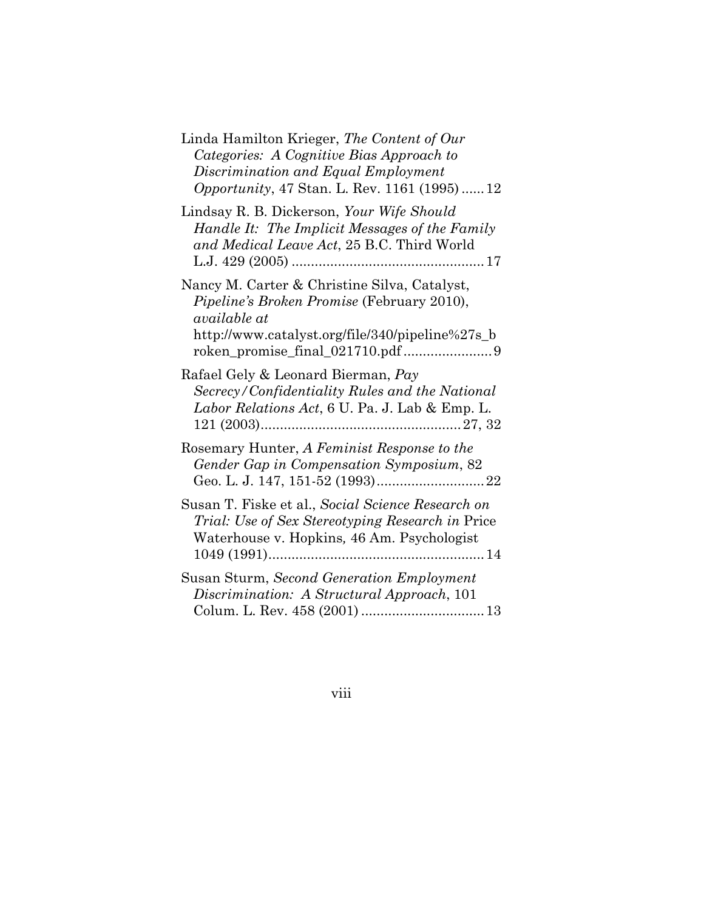| Linda Hamilton Krieger, The Content of Our<br>Categories: A Cognitive Bias Approach to                                                                     |
|------------------------------------------------------------------------------------------------------------------------------------------------------------|
| Discrimination and Equal Employment<br><i>Opportunity</i> , 47 Stan. L. Rev. 1161 (1995)  12                                                               |
| Lindsay R. B. Dickerson, Your Wife Should<br>Handle It: The Implicit Messages of the Family<br>and Medical Leave Act, 25 B.C. Third World                  |
| Nancy M. Carter & Christine Silva, Catalyst,<br>Pipeline's Broken Promise (February 2010),<br>available at                                                 |
| http://www.catalyst.org/file/340/pipeline%27s_b                                                                                                            |
| Rafael Gely & Leonard Bierman, Pay<br>Secrecy/Confidentiality Rules and the National<br>Labor Relations Act, 6 U. Pa. J. Lab & Emp. L.                     |
| Rosemary Hunter, A Feminist Response to the<br>Gender Gap in Compensation Symposium, 82                                                                    |
| Susan T. Fiske et al., Social Science Research on<br><i>Trial: Use of Sex Stereotyping Research in Price</i><br>Waterhouse v. Hopkins, 46 Am. Psychologist |
| Susan Sturm, Second Generation Employment<br>Discrimination: A Structural Approach, 101                                                                    |

viii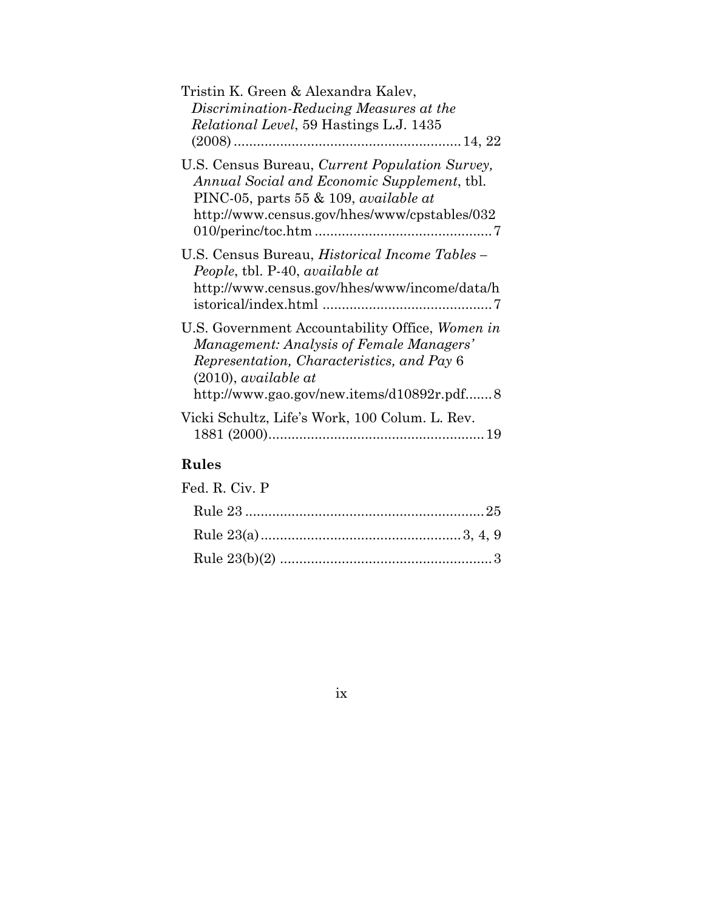| Tristin K. Green & Alexandra Kalev,<br>Discrimination-Reducing Measures at the<br><i>Relational Level</i> , 59 Hastings L.J. 1435                                                                                 |
|-------------------------------------------------------------------------------------------------------------------------------------------------------------------------------------------------------------------|
| U.S. Census Bureau, Current Population Survey,<br>Annual Social and Economic Supplement, tbl.<br>PINC-05, parts 55 $\&$ 109, available at<br>http://www.census.gov/hhes/www/cpstables/032                         |
| U.S. Census Bureau, <i>Historical Income Tables</i> –<br>People, tbl. P-40, available at<br>http://www.census.gov/hhes/www/income/data/h                                                                          |
| U.S. Government Accountability Office, Women in<br>Management: Analysis of Female Managers'<br>Representation, Characteristics, and Pay 6<br>$(2010)$ , available at<br>http://www.gao.gov/new.items/d10892r.pdf8 |
| Vicki Schultz, Life's Work, 100 Colum. L. Rev.                                                                                                                                                                    |

# **Rules**

| Fed. R. Civ. P |  |
|----------------|--|
|                |  |
|                |  |
|                |  |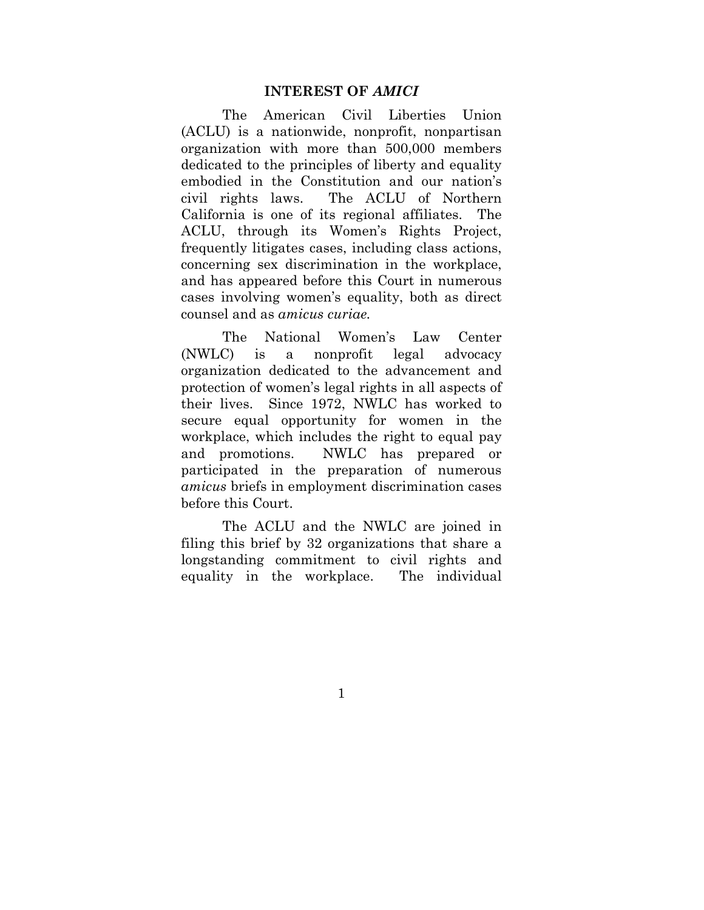#### **INTEREST OF** *AMICI*

The American Civil Liberties Union (ACLU) is a nationwide, nonprofit, nonpartisan organization with more than 500,000 members dedicated to the principles of liberty and equality embodied in the Constitution and our nation's civil rights laws. The ACLU of Northern California is one of its regional affiliates. The ACLU, through its Women's Rights Project, frequently litigates cases, including class actions, concerning sex discrimination in the workplace, and has appeared before this Court in numerous cases involving women's equality, both as direct counsel and as *amicus curiae.*

The National Women's Law Center (NWLC) is a nonprofit legal advocacy organization dedicated to the advancement and protection of women's legal rights in all aspects of their lives. Since 1972, NWLC has worked to secure equal opportunity for women in the workplace, which includes the right to equal pay and promotions. NWLC has prepared or participated in the preparation of numerous *amicus* briefs in employment discrimination cases before this Court.

The ACLU and the NWLC are joined in filing this brief by 32 organizations that share a longstanding commitment to civil rights and equality in the workplace. The individual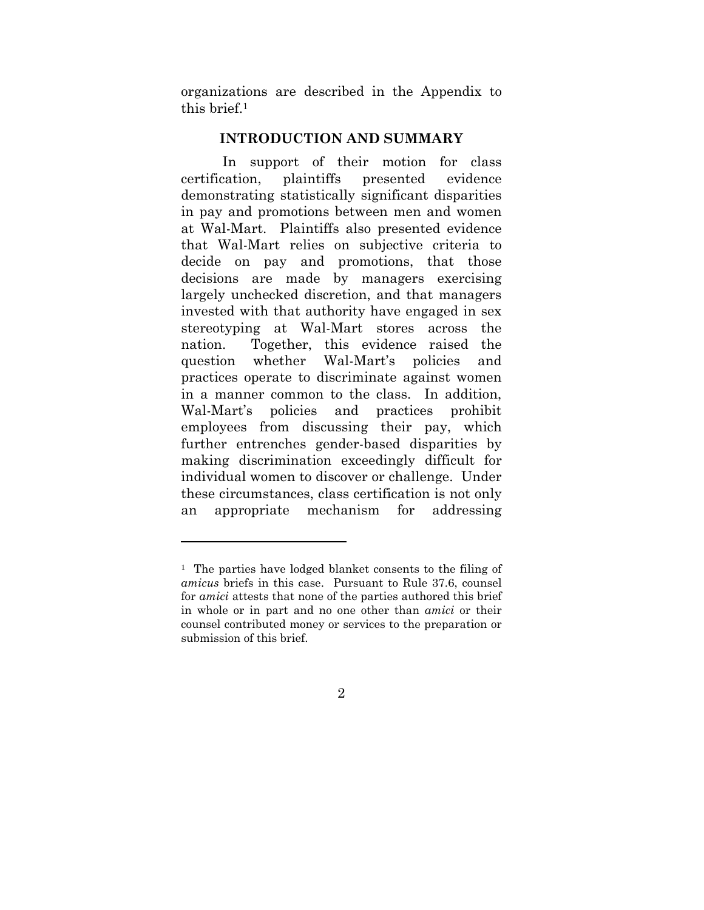organizations are described in the Appendix to this brief.1

#### **INTRODUCTION AND SUMMARY**

In support of their motion for class certification, plaintiffs presented evidence demonstrating statistically significant disparities in pay and promotions between men and women at Wal-Mart. Plaintiffs also presented evidence that Wal-Mart relies on subjective criteria to decide on pay and promotions, that those decisions are made by managers exercising largely unchecked discretion, and that managers invested with that authority have engaged in sex stereotyping at Wal-Mart stores across the nation. Together, this evidence raised the question whether Wal-Mart's policies and practices operate to discriminate against women in a manner common to the class. In addition, Wal-Mart's policies and practices prohibit employees from discussing their pay, which further entrenches gender-based disparities by making discrimination exceedingly difficult for individual women to discover or challenge. Under these circumstances, class certification is not only an appropriate mechanism for addressing

<sup>&</sup>lt;sup>1</sup> The parties have lodged blanket consents to the filing of *amicus* briefs in this case. Pursuant to Rule 37.6, counsel for *amici* attests that none of the parties authored this brief in whole or in part and no one other than *amici* or their counsel contributed money or services to the preparation or submission of this brief.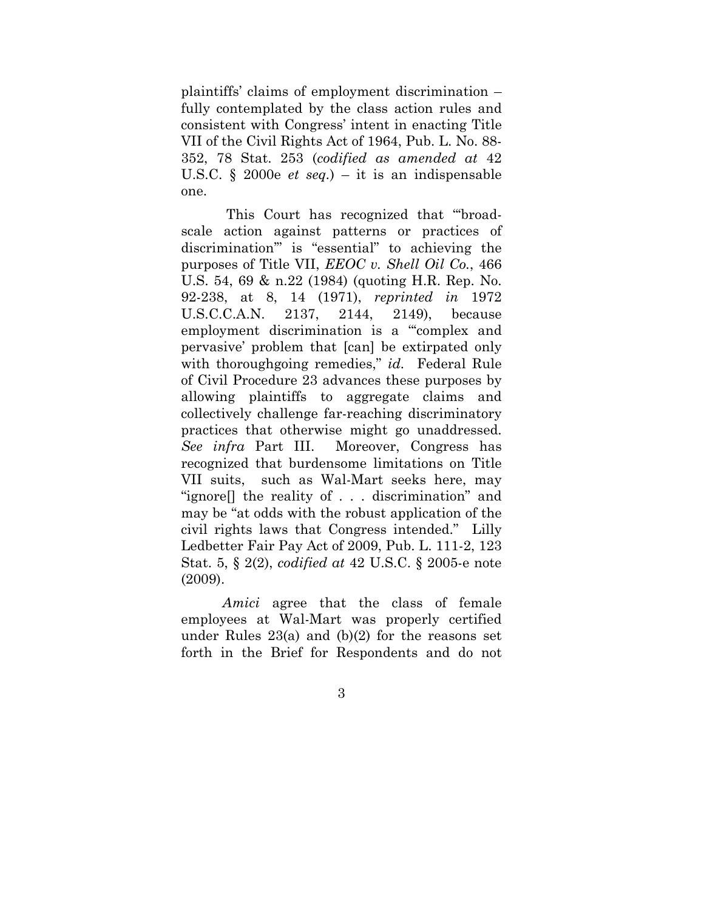plaintiffs' claims of employment discrimination – fully contemplated by the class action rules and consistent with Congress' intent in enacting Title VII of the Civil Rights Act of 1964, Pub. L. No. 88- 352, 78 Stat. 253 (*codified as amended at* 42 U.S.C. § 2000e *et seq.*) – it is an indispensable one.

 This Court has recognized that "'broadscale action against patterns or practices of discrimination'" is "essential" to achieving the purposes of Title VII, *EEOC v. Shell Oil Co.*, 466 U.S. 54, 69 & n.22 (1984) (quoting H.R. Rep. No. 92-238, at 8, 14 (1971), *reprinted in* 1972 U.S.C.C.A.N. 2137, 2144, 2149), because employment discrimination is a "'complex and pervasive' problem that [can] be extirpated only with thoroughgoing remedies," *id.* Federal Rule of Civil Procedure 23 advances these purposes by allowing plaintiffs to aggregate claims and collectively challenge far-reaching discriminatory practices that otherwise might go unaddressed. *See infra* Part III. Moreover, Congress has recognized that burdensome limitations on Title VII suits, such as Wal-Mart seeks here, may "ignore[] the reality of . . . discrimination" and may be "at odds with the robust application of the civil rights laws that Congress intended." Lilly Ledbetter Fair Pay Act of 2009, Pub. L. 111-2, 123 Stat. 5, § 2(2), *codified at* 42 U.S.C. § 2005-e note (2009).

*Amici* agree that the class of female employees at Wal-Mart was properly certified under Rules  $23(a)$  and  $(b)(2)$  for the reasons set forth in the Brief for Respondents and do not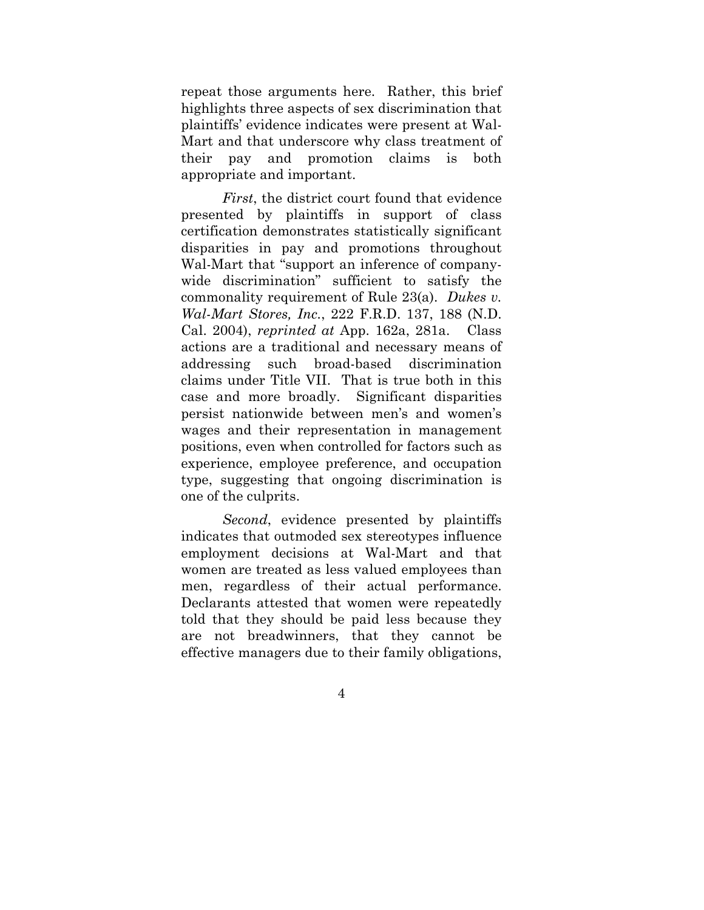repeat those arguments here. Rather, this brief highlights three aspects of sex discrimination that plaintiffs' evidence indicates were present at Wal-Mart and that underscore why class treatment of their pay and promotion claims is both appropriate and important.

*First*, the district court found that evidence presented by plaintiffs in support of class certification demonstrates statistically significant disparities in pay and promotions throughout Wal-Mart that "support an inference of companywide discrimination" sufficient to satisfy the commonality requirement of Rule 23(a). *Dukes v. Wal-Mart Stores, Inc.*, 222 F.R.D. 137, 188 (N.D. Cal. 2004), *reprinted at* App. 162a, 281a. Class actions are a traditional and necessary means of addressing such broad-based discrimination claims under Title VII. That is true both in this case and more broadly. Significant disparities persist nationwide between men's and women's wages and their representation in management positions, even when controlled for factors such as experience, employee preference, and occupation type, suggesting that ongoing discrimination is one of the culprits.

*Second*, evidence presented by plaintiffs indicates that outmoded sex stereotypes influence employment decisions at Wal-Mart and that women are treated as less valued employees than men, regardless of their actual performance. Declarants attested that women were repeatedly told that they should be paid less because they are not breadwinners, that they cannot be effective managers due to their family obligations,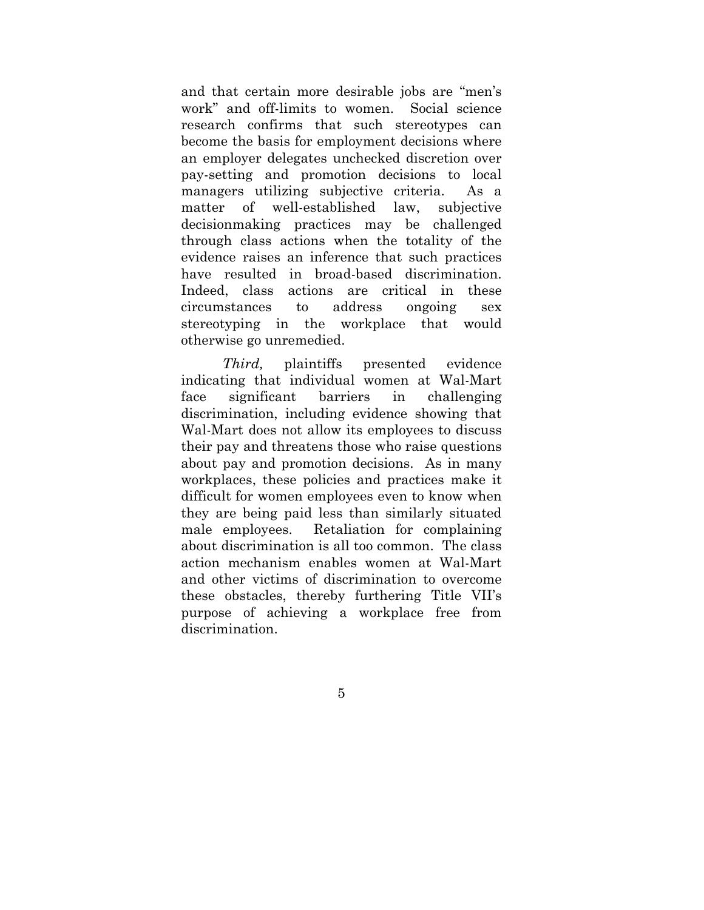and that certain more desirable jobs are "men's work" and off-limits to women. Social science research confirms that such stereotypes can become the basis for employment decisions where an employer delegates unchecked discretion over pay-setting and promotion decisions to local managers utilizing subjective criteria. As a matter of well-established law, subjective decisionmaking practices may be challenged through class actions when the totality of the evidence raises an inference that such practices have resulted in broad-based discrimination. Indeed, class actions are critical in these circumstances to address ongoing sex stereotyping in the workplace that would otherwise go unremedied.

*Third*, plaintiffs presented evidence indicating that individual women at Wal-Mart face significant barriers in challenging discrimination, including evidence showing that Wal-Mart does not allow its employees to discuss their pay and threatens those who raise questions about pay and promotion decisions. As in many workplaces, these policies and practices make it difficult for women employees even to know when they are being paid less than similarly situated male employees. Retaliation for complaining about discrimination is all too common. The class action mechanism enables women at Wal-Mart and other victims of discrimination to overcome these obstacles, thereby furthering Title VII's purpose of achieving a workplace free from discrimination.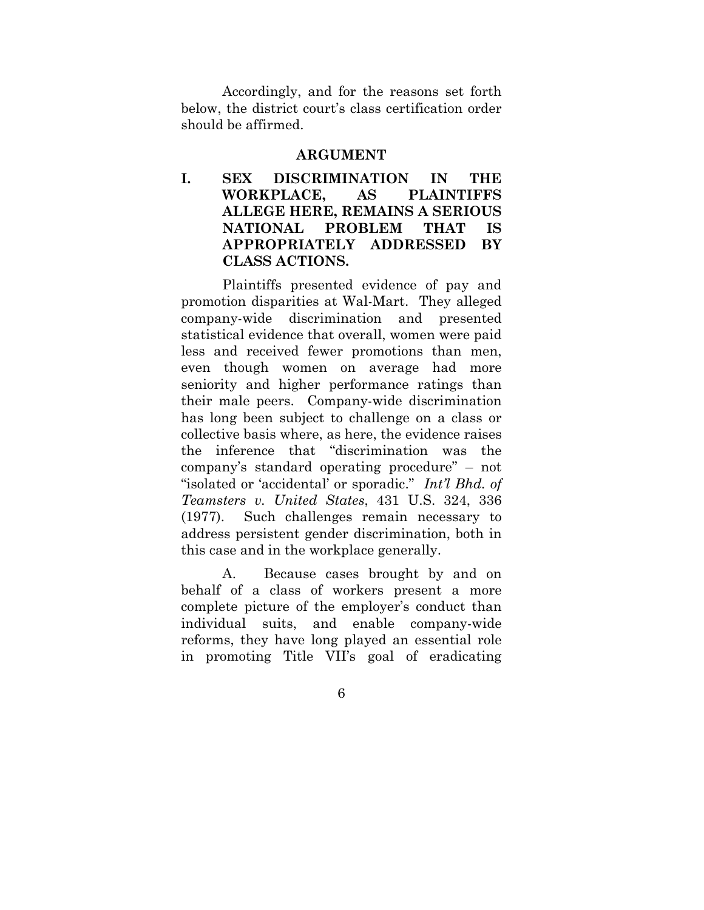Accordingly, and for the reasons set forth below, the district court's class certification order should be affirmed.

#### **ARGUMENT**

**I. SEX DISCRIMINATION IN THE WORKPLACE, AS PLAINTIFFS ALLEGE HERE, REMAINS A SERIOUS NATIONAL PROBLEM THAT IS APPROPRIATELY ADDRESSED BY CLASS ACTIONS.**

Plaintiffs presented evidence of pay and promotion disparities at Wal-Mart. They alleged company-wide discrimination and presented statistical evidence that overall, women were paid less and received fewer promotions than men, even though women on average had more seniority and higher performance ratings than their male peers. Company-wide discrimination has long been subject to challenge on a class or collective basis where, as here, the evidence raises the inference that "discrimination was the company's standard operating procedure" – not "isolated or 'accidental' or sporadic." *Int'l Bhd. of Teamsters v. United States*, 431 U.S. 324, 336 (1977). Such challenges remain necessary to address persistent gender discrimination, both in this case and in the workplace generally.

A. Because cases brought by and on behalf of a class of workers present a more complete picture of the employer's conduct than individual suits, and enable company-wide reforms, they have long played an essential role in promoting Title VII's goal of eradicating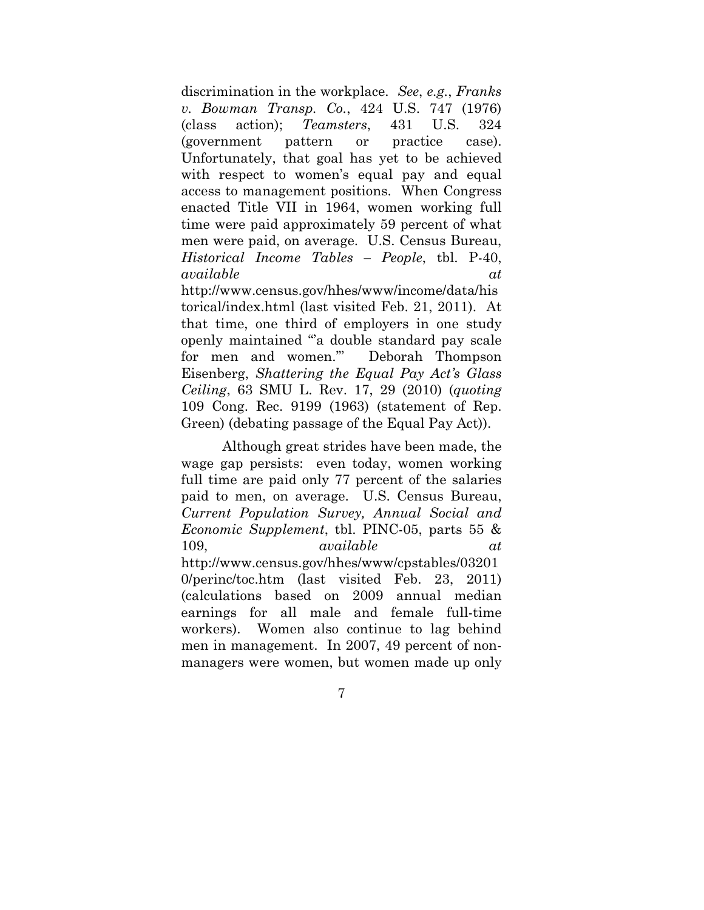discrimination in the workplace. *See*, *e.g.*, *Franks v. Bowman Transp. Co.*, 424 U.S. 747 (1976) (class action); *Teamsters*, 431 U.S. 324 (government pattern or practice case). Unfortunately, that goal has yet to be achieved with respect to women's equal pay and equal access to management positions.When Congress enacted Title VII in 1964, women working full time were paid approximately 59 percent of what men were paid, on average. U.S. Census Bureau, *Historical Income Tables – People*, tbl. P-40, *available at*

http://www.census.gov/hhes/www/income/data/his torical/index.html (last visited Feb. 21, 2011). At that time, one third of employers in one study openly maintained "'a double standard pay scale for men and women.'" Deborah Thompson Eisenberg, *Shattering the Equal Pay Act's Glass Ceiling*, 63 SMU L. Rev. 17, 29 (2010) (*quoting* 109 Cong. Rec. 9199 (1963) (statement of Rep. Green) (debating passage of the Equal Pay Act)).

Although great strides have been made, the wage gap persists: even today, women working full time are paid only 77 percent of the salaries paid to men, on average. U.S. Census Bureau, *Current Population Survey, Annual Social and Economic Supplement*, tbl. PINC-05, parts 55 & 109, *available at* http://www.census.gov/hhes/www/cpstables/03201 0/perinc/toc.htm (last visited Feb. 23, 2011) (calculations based on 2009 annual median earnings for all male and female full-time workers). Women also continue to lag behind men in management. In 2007, 49 percent of nonmanagers were women, but women made up only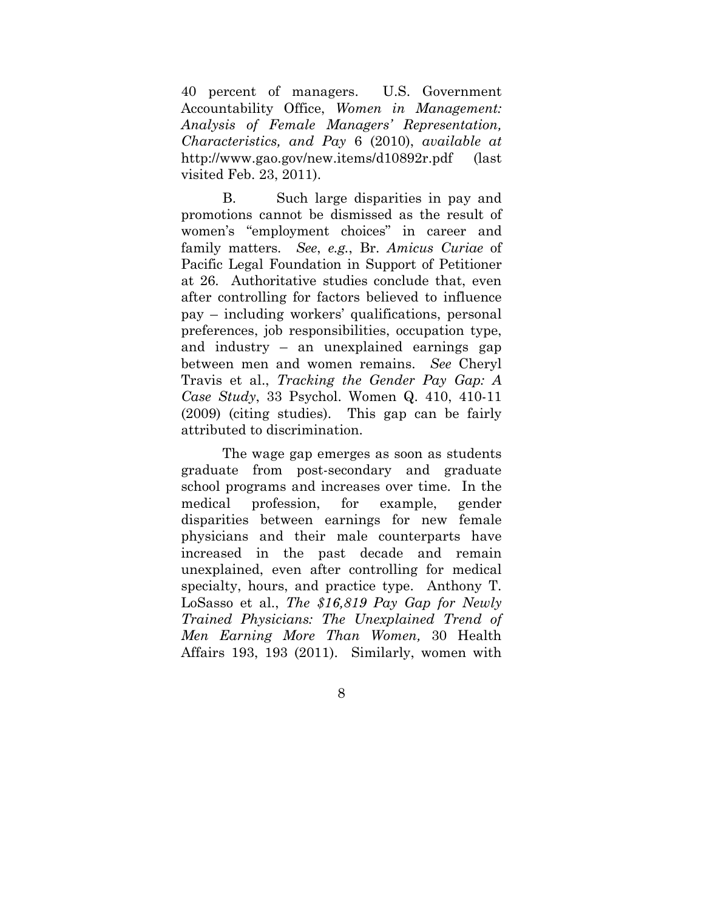40 percent of managers. U.S. Government Accountability Office, *Women in Management: Analysis of Female Managers' Representation, Characteristics, and Pay* 6 (2010), *available at* http://www.gao.gov/new.items/d10892r.pdf (last visited Feb. 23, 2011).

B. Such large disparities in pay and promotions cannot be dismissed as the result of women's "employment choices" in career and family matters. *See*, *e.g.*, Br. *Amicus Curiae* of Pacific Legal Foundation in Support of Petitioner at 26. Authoritative studies conclude that, even after controlling for factors believed to influence pay – including workers' qualifications, personal preferences, job responsibilities, occupation type, and industry – an unexplained earnings gap between men and women remains. *See* Cheryl Travis et al., *Tracking the Gender Pay Gap: A Case Study*, 33 Psychol. Women Q. 410, 410-11 (2009) (citing studies). This gap can be fairly attributed to discrimination.

The wage gap emerges as soon as students graduate from post-secondary and graduate school programs and increases over time. In the medical profession, for example, gender disparities between earnings for new female physicians and their male counterparts have increased in the past decade and remain unexplained, even after controlling for medical specialty, hours, and practice type. Anthony T. LoSasso et al., *The \$16,819 Pay Gap for Newly Trained Physicians: The Unexplained Trend of Men Earning More Than Women,* 30 Health Affairs 193, 193 (2011). Similarly, women with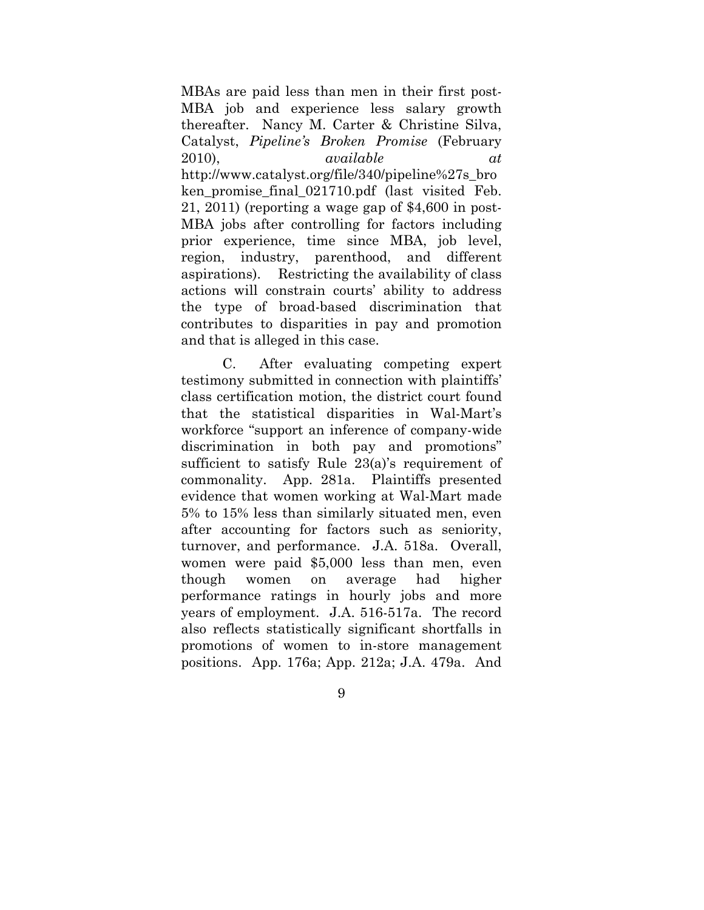MBAs are paid less than men in their first post-MBA job and experience less salary growth thereafter. Nancy M. Carter & Christine Silva, Catalyst, *Pipeline's Broken Promise* (February 2010), *available at* http://www.catalyst.org/file/340/pipeline%27s\_bro ken promise final 021710.pdf (last visited Feb. 21, 2011) (reporting a wage gap of \$4,600 in post-MBA jobs after controlling for factors including prior experience, time since MBA, job level, region, industry, parenthood, and different aspirations). Restricting the availability of class actions will constrain courts' ability to address the type of broad-based discrimination that contributes to disparities in pay and promotion and that is alleged in this case.

C. After evaluating competing expert testimony submitted in connection with plaintiffs' class certification motion, the district court found that the statistical disparities in Wal-Mart's workforce "support an inference of company-wide discrimination in both pay and promotions" sufficient to satisfy Rule 23(a)'s requirement of commonality. App. 281a. Plaintiffs presented evidence that women working at Wal-Mart made 5% to 15% less than similarly situated men, even after accounting for factors such as seniority, turnover, and performance. J.A. 518a. Overall, women were paid \$5,000 less than men, even though women on average had higher performance ratings in hourly jobs and more years of employment. J.A. 516-517a. The record also reflects statistically significant shortfalls in promotions of women to in-store management positions. App. 176a; App. 212a; J.A. 479a. And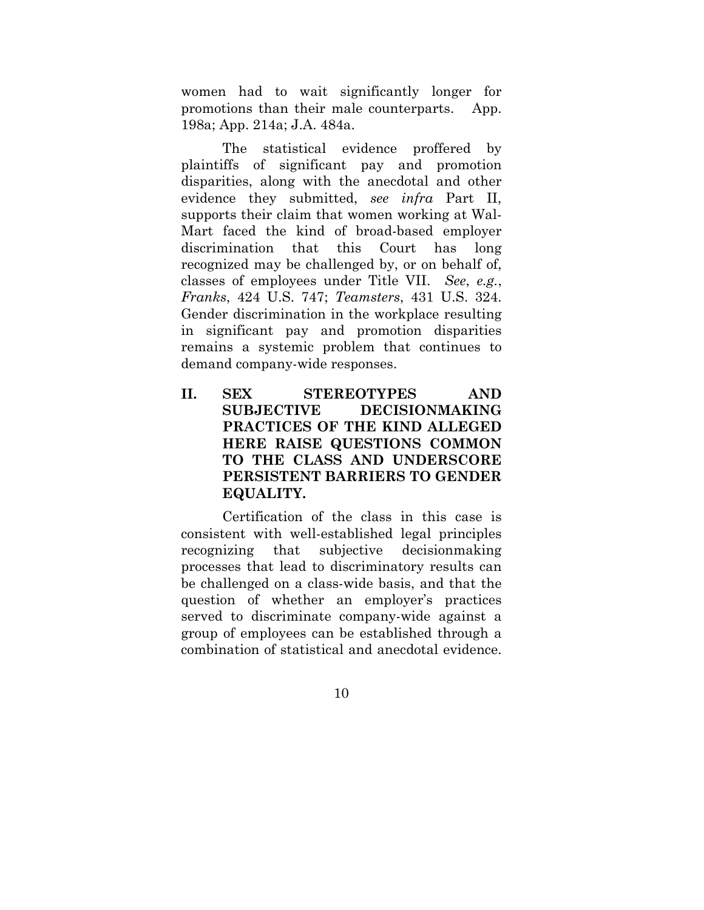women had to wait significantly longer for promotions than their male counterparts. App. 198a; App. 214a; J.A. 484a.

The statistical evidence proffered by plaintiffs of significant pay and promotion disparities, along with the anecdotal and other evidence they submitted, *see infra* Part II, supports their claim that women working at Wal-Mart faced the kind of broad-based employer discrimination that this Court has long recognized may be challenged by, or on behalf of, classes of employees under Title VII. *See*, *e.g.*, *Franks*, 424 U.S. 747; *Teamsters*, 431 U.S. 324. Gender discrimination in the workplace resulting in significant pay and promotion disparities remains a systemic problem that continues to demand company-wide responses.

**II. SEX STEREOTYPES AND SUBJECTIVE DECISIONMAKING PRACTICES OF THE KIND ALLEGED HERE RAISE QUESTIONS COMMON TO THE CLASS AND UNDERSCORE PERSISTENT BARRIERS TO GENDER EQUALITY.** 

Certification of the class in this case is consistent with well-established legal principles recognizing that subjective decisionmaking processes that lead to discriminatory results can be challenged on a class-wide basis, and that the question of whether an employer's practices served to discriminate company-wide against a group of employees can be established through a combination of statistical and anecdotal evidence.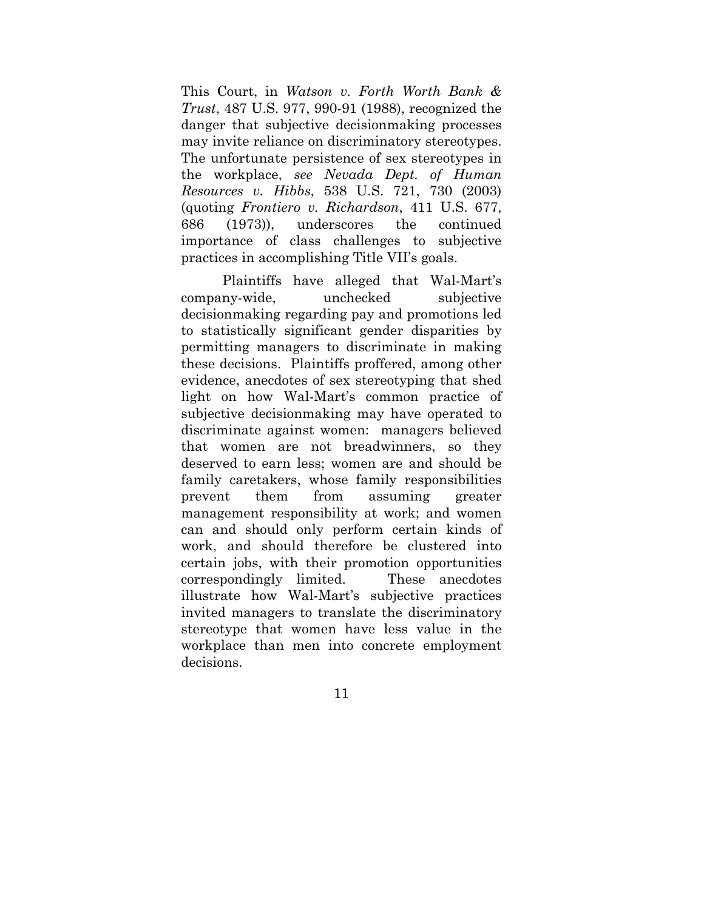This Court, in *Watson v. Forth Worth Bank & Trust*, 487 U.S. 977, 990-91 (1988), recognized the danger that subjective decisionmaking processes may invite reliance on discriminatory stereotypes. The unfortunate persistence of sex stereotypes in the workplace, *see Nevada Dept. of Human Resources v. Hibbs*, 538 U.S. 721, 730 (2003) (quoting *Frontiero v. Richardson*, 411 U.S. 677, 686 (1973)), underscores the continued importance of class challenges to subjective practices in accomplishing Title VII's goals.

Plaintiffs have alleged that Wal-Mart's company-wide, unchecked subjective decisionmaking regarding pay and promotions led to statistically significant gender disparities by permitting managers to discriminate in making these decisions. Plaintiffs proffered, among other evidence, anecdotes of sex stereotyping that shed light on how Wal-Mart's common practice of subjective decisionmaking may have operated to discriminate against women: managers believed that women are not breadwinners, so they deserved to earn less; women are and should be family caretakers, whose family responsibilities prevent them from assuming greater management responsibility at work; and women can and should only perform certain kinds of work, and should therefore be clustered into certain jobs, with their promotion opportunities correspondingly limited. These anecdotes illustrate how Wal-Mart's subjective practices invited managers to translate the discriminatory stereotype that women have less value in the workplace than men into concrete employment decisions.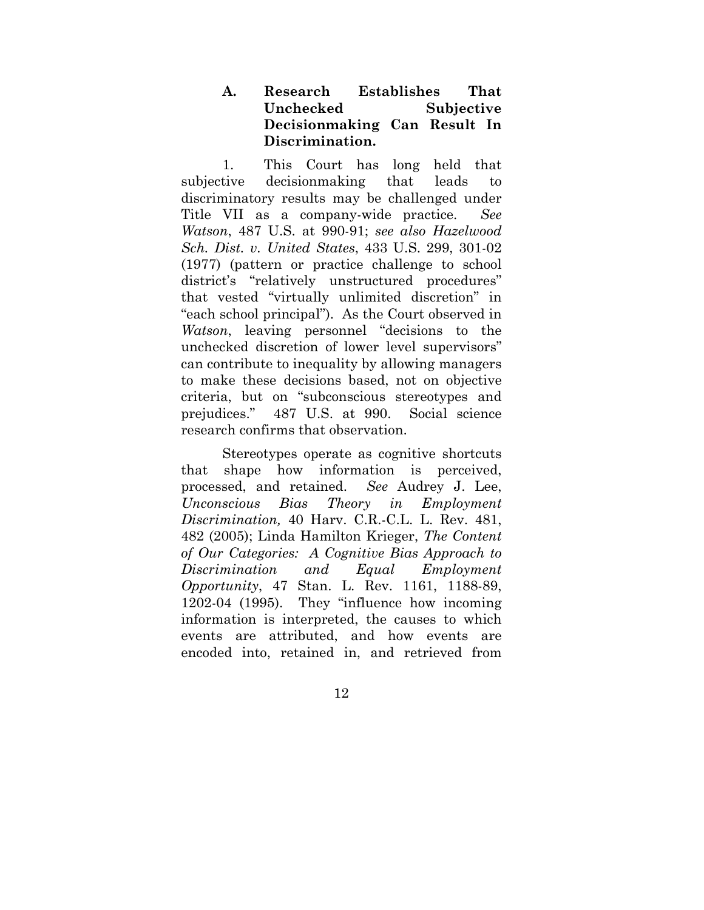## **A. Research Establishes That Unchecked Subjective Decisionmaking Can Result In Discrimination.**

1. This Court has long held that subjective decisionmaking that leads to discriminatory results may be challenged under Title VII as a company-wide practice. *See Watson*, 487 U.S. at 990-91; *see also Hazelwood Sch. Dist. v. United States*, 433 U.S. 299, 301-02 (1977) (pattern or practice challenge to school district's "relatively unstructured procedures" that vested "virtually unlimited discretion" in "each school principal"). As the Court observed in *Watson*, leaving personnel "decisions to the unchecked discretion of lower level supervisors" can contribute to inequality by allowing managers to make these decisions based, not on objective criteria, but on "subconscious stereotypes and prejudices." 487 U.S. at 990. Social science research confirms that observation.

Stereotypes operate as cognitive shortcuts that shape how information is perceived, processed, and retained. *See* Audrey J. Lee, *Unconscious Bias Theory in Employment Discrimination,* 40 Harv. C.R.-C.L. L. Rev. 481, 482 (2005); Linda Hamilton Krieger, *The Content of Our Categories: A Cognitive Bias Approach to Discrimination and Equal Employment Opportunity*, 47 Stan. L. Rev. 1161, 1188-89, 1202-04 (1995). They "influence how incoming information is interpreted, the causes to which events are attributed, and how events are encoded into, retained in, and retrieved from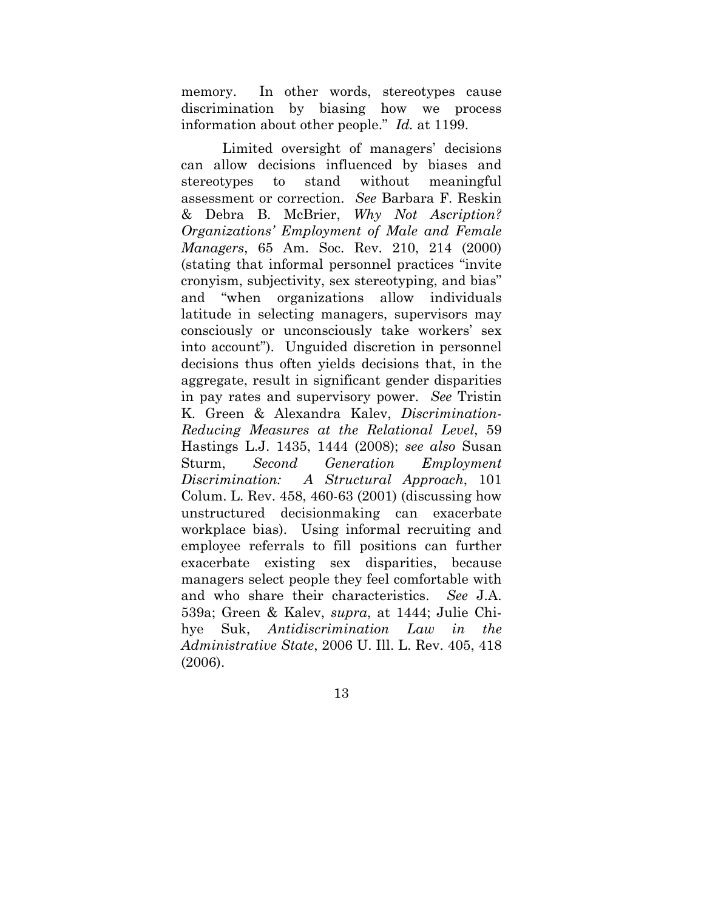memory. In other words, stereotypes cause discrimination by biasing how we process information about other people." *Id.* at 1199.

Limited oversight of managers' decisions can allow decisions influenced by biases and stereotypes to stand without meaningful assessment or correction. *See* Barbara F. Reskin & Debra B. McBrier, *Why Not Ascription? Organizations' Employment of Male and Female Managers*, 65 Am. Soc. Rev. 210, 214 (2000) (stating that informal personnel practices "invite cronyism, subjectivity, sex stereotyping, and bias" and "when organizations allow individuals latitude in selecting managers, supervisors may consciously or unconsciously take workers' sex into account"). Unguided discretion in personnel decisions thus often yields decisions that, in the aggregate, result in significant gender disparities in pay rates and supervisory power. *See* Tristin K. Green & Alexandra Kalev, *Discrimination-Reducing Measures at the Relational Level*, 59 Hastings L.J. 1435, 1444 (2008); *see also* Susan Sturm, *Second Generation Employment Discrimination: A Structural Approach*, 101 Colum. L. Rev. 458, 460-63 (2001) (discussing how unstructured decisionmaking can exacerbate workplace bias). Using informal recruiting and employee referrals to fill positions can further exacerbate existing sex disparities, because managers select people they feel comfortable with and who share their characteristics. *See* J.A. 539a; Green & Kalev, *supra*, at 1444; Julie Chihye Suk, *Antidiscrimination Law in the Administrative State*, 2006 U. Ill. L. Rev. 405, 418 (2006).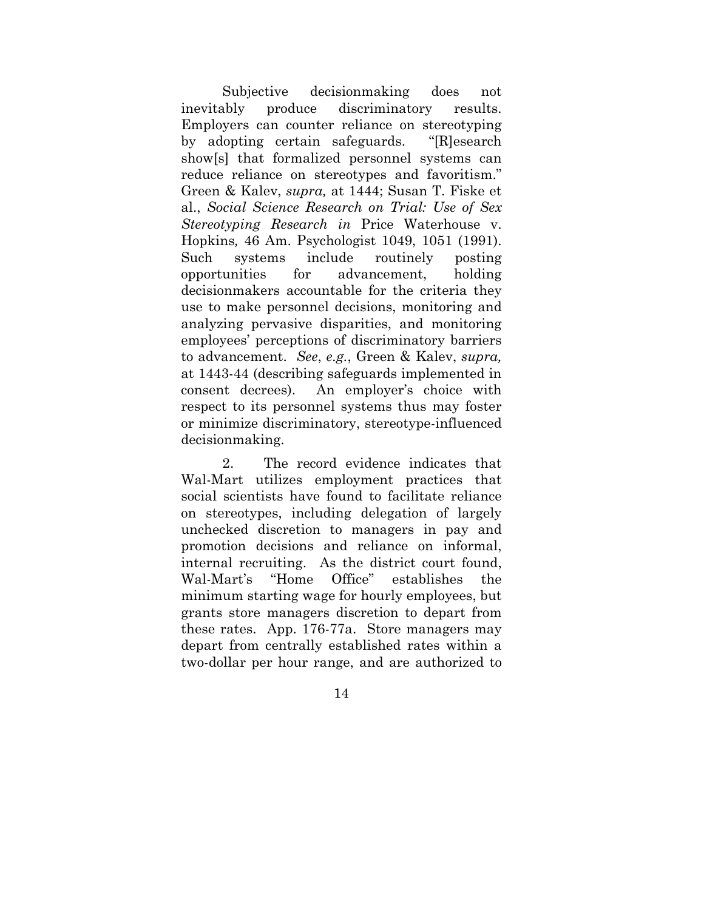Subjective decisionmaking does not inevitably produce discriminatory results. Employers can counter reliance on stereotyping by adopting certain safeguards. "[R]esearch show[s] that formalized personnel systems can reduce reliance on stereotypes and favoritism." Green & Kalev, *supra,* at 1444; Susan T. Fiske et al., *Social Science Research on Trial: Use of Sex Stereotyping Research in* Price Waterhouse v. Hopkins*,* 46 Am. Psychologist 1049, 1051 (1991). Such systems include routinely posting opportunities for advancement, holding decisionmakers accountable for the criteria they use to make personnel decisions, monitoring and analyzing pervasive disparities, and monitoring employees' perceptions of discriminatory barriers to advancement. *See*, *e.g.*, Green & Kalev, *supra,* at 1443-44 (describing safeguards implemented in consent decrees). An employer's choice with respect to its personnel systems thus may foster or minimize discriminatory, stereotype-influenced decisionmaking.

2. The record evidence indicates that Wal-Mart utilizes employment practices that social scientists have found to facilitate reliance on stereotypes, including delegation of largely unchecked discretion to managers in pay and promotion decisions and reliance on informal, internal recruiting. As the district court found, Wal-Mart's "Home Office" establishes the minimum starting wage for hourly employees, but grants store managers discretion to depart from these rates. App. 176-77a. Store managers may depart from centrally established rates within a two-dollar per hour range, and are authorized to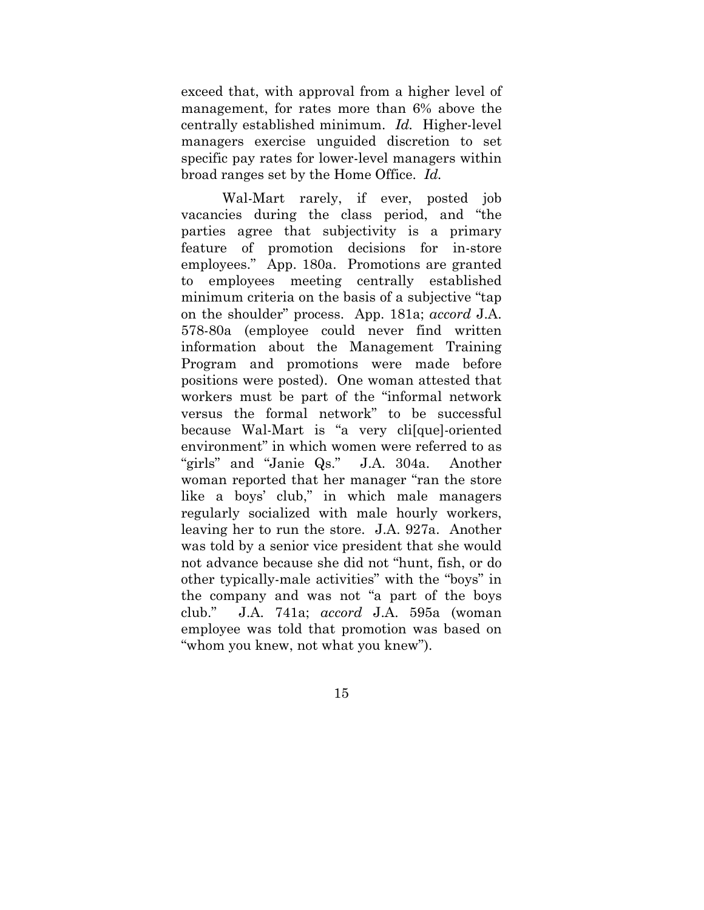exceed that, with approval from a higher level of management, for rates more than 6% above the centrally established minimum. *Id.* Higher-level managers exercise unguided discretion to set specific pay rates for lower-level managers within broad ranges set by the Home Office. *Id.*

Wal-Mart rarely, if ever, posted job vacancies during the class period, and "the parties agree that subjectivity is a primary feature of promotion decisions for in-store employees." App. 180a. Promotions are granted to employees meeting centrally established minimum criteria on the basis of a subjective "tap on the shoulder" process. App. 181a; *accord* J.A. 578-80a (employee could never find written information about the Management Training Program and promotions were made before positions were posted). One woman attested that workers must be part of the "informal network versus the formal network" to be successful because Wal-Mart is "a very cli[que]-oriented environment" in which women were referred to as "girls" and "Janie Qs." J.A. 304a. Another woman reported that her manager "ran the store like a boys' club," in which male managers regularly socialized with male hourly workers, leaving her to run the store. J.A. 927a. Another was told by a senior vice president that she would not advance because she did not "hunt, fish, or do other typically-male activities" with the "boys" in the company and was not "a part of the boys club." J.A. 741a; *accord* J.A. 595a (woman employee was told that promotion was based on "whom you knew, not what you knew").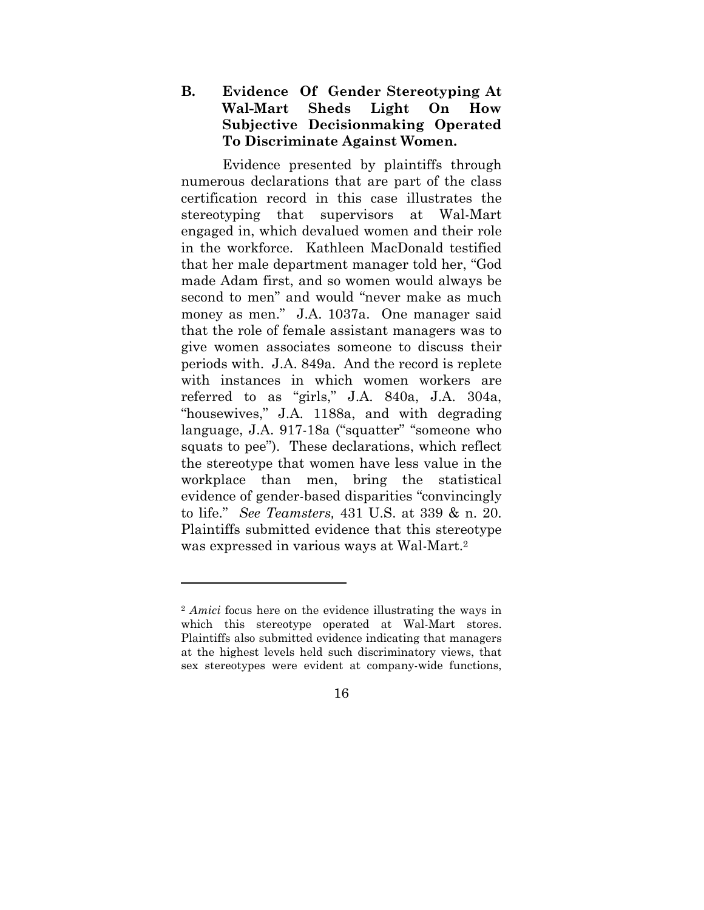**B. Evidence Of Gender Stereotyping At Wal-Mart Sheds Light On How Subjective Decisionmaking Operated To Discriminate Against Women.** 

Evidence presented by plaintiffs through numerous declarations that are part of the class certification record in this case illustrates the stereotyping that supervisors at Wal-Mart engaged in, which devalued women and their role in the workforce. Kathleen MacDonald testified that her male department manager told her, "God made Adam first, and so women would always be second to men" and would "never make as much money as men." J.A. 1037a. One manager said that the role of female assistant managers was to give women associates someone to discuss their periods with. J.A. 849a. And the record is replete with instances in which women workers are referred to as "girls," J.A. 840a, J.A. 304a, "housewives," J.A. 1188a, and with degrading language, J.A. 917-18a ("squatter" "someone who squats to pee"). These declarations, which reflect the stereotype that women have less value in the workplace than men, bring the statistical evidence of gender-based disparities "convincingly to life." *See Teamsters,* 431 U.S. at 339 & n. 20. Plaintiffs submitted evidence that this stereotype was expressed in various ways at Wal-Mart.2

<sup>2</sup> *Amici* focus here on the evidence illustrating the ways in which this stereotype operated at Wal-Mart stores. Plaintiffs also submitted evidence indicating that managers at the highest levels held such discriminatory views, that sex stereotypes were evident at company-wide functions,

<sup>16</sup>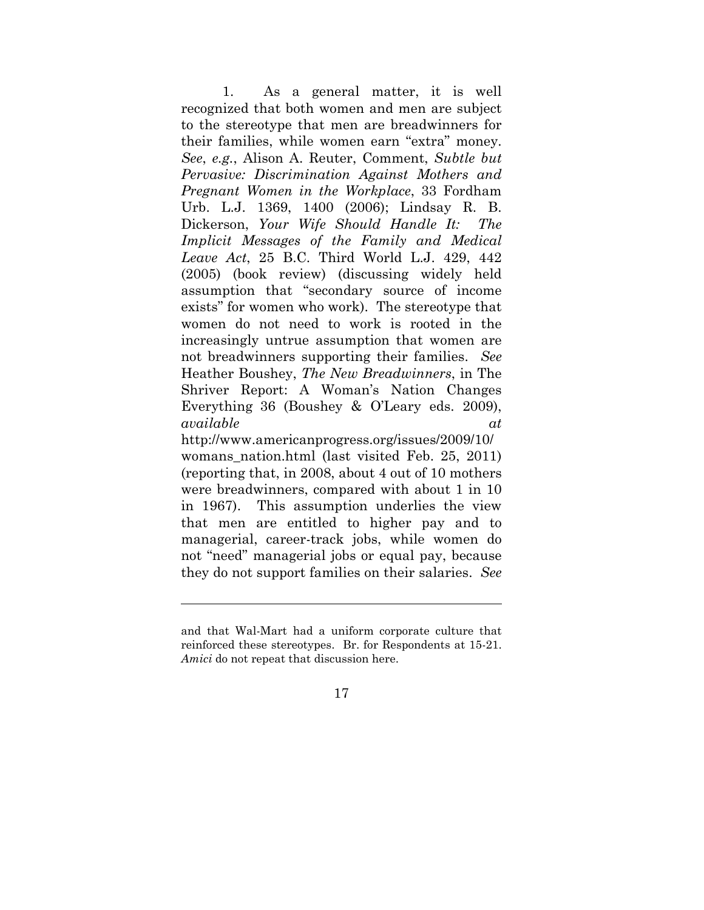1. As a general matter, it is well recognized that both women and men are subject to the stereotype that men are breadwinners for their families, while women earn "extra" money. *See*, *e.g.*, Alison A. Reuter, Comment, *Subtle but Pervasive: Discrimination Against Mothers and Pregnant Women in the Workplace*, 33 Fordham Urb. L.J. 1369, 1400 (2006); Lindsay R. B. Dickerson, *Your Wife Should Handle It: The Implicit Messages of the Family and Medical Leave Act*, 25 B.C. Third World L.J. 429, 442 (2005) (book review) (discussing widely held assumption that "secondary source of income exists" for women who work). The stereotype that women do not need to work is rooted in the increasingly untrue assumption that women are not breadwinners supporting their families. *See* Heather Boushey, *The New Breadwinners*, in The Shriver Report: A Woman's Nation Changes Everything 36 (Boushey & O'Leary eds. 2009), *available at* http://www.americanprogress.org/issues/2009/10/

womans nation.html (last visited Feb. 25, 2011) (reporting that, in 2008, about 4 out of 10 mothers were breadwinners, compared with about 1 in 10 in 1967). This assumption underlies the view that men are entitled to higher pay and to managerial, career-track jobs, while women do not "need" managerial jobs or equal pay, because they do not support families on their salaries. *See* 

<u> 1989 - Johann Stein, fransk politik (d. 1989)</u>

and that Wal-Mart had a uniform corporate culture that reinforced these stereotypes. Br. for Respondents at 15-21. *Amici* do not repeat that discussion here.

<sup>17</sup>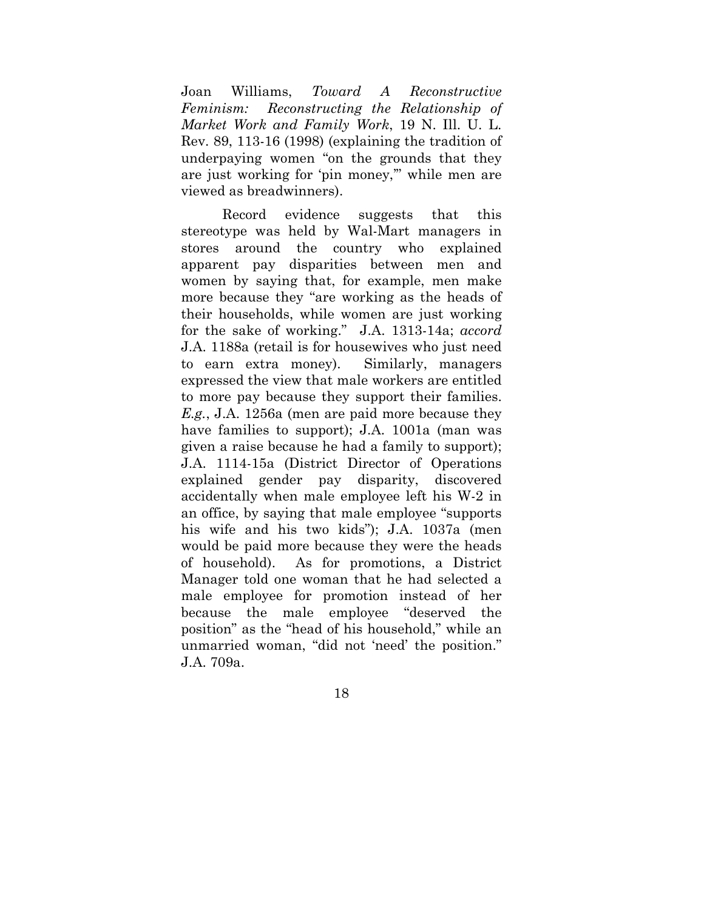Joan Williams, *Toward A Reconstructive Feminism: Reconstructing the Relationship of Market Work and Family Work*, 19 N. Ill. U. L. Rev. 89, 113-16 (1998) (explaining the tradition of underpaying women "on the grounds that they are just working for 'pin money,'" while men are viewed as breadwinners).

Record evidence suggests that this stereotype was held by Wal-Mart managers in stores around the country who explained apparent pay disparities between men and women by saying that, for example, men make more because they "are working as the heads of their households, while women are just working for the sake of working." J.A. 1313-14a; *accord* J.A. 1188a (retail is for housewives who just need to earn extra money). Similarly, managers expressed the view that male workers are entitled to more pay because they support their families. *E.g.*, J.A. 1256a (men are paid more because they have families to support); J.A. 1001a (man was given a raise because he had a family to support); J.A. 1114-15a (District Director of Operations explained gender pay disparity, discovered accidentally when male employee left his W-2 in an office, by saying that male employee "supports his wife and his two kids"); J.A. 1037a (men would be paid more because they were the heads of household). As for promotions, a District Manager told one woman that he had selected a male employee for promotion instead of her because the male employee "deserved the position" as the "head of his household," while an unmarried woman, "did not 'need' the position." J.A. 709a.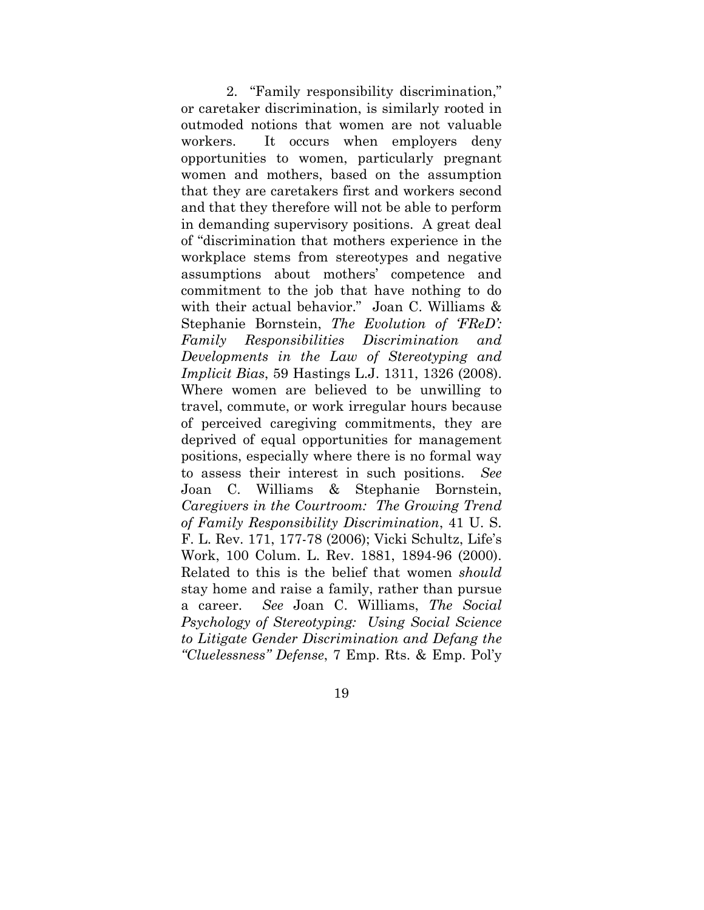2. "Family responsibility discrimination," or caretaker discrimination, is similarly rooted in outmoded notions that women are not valuable workers. It occurs when employers deny opportunities to women, particularly pregnant women and mothers, based on the assumption that they are caretakers first and workers second and that they therefore will not be able to perform in demanding supervisory positions. A great deal of "discrimination that mothers experience in the workplace stems from stereotypes and negative assumptions about mothers' competence and commitment to the job that have nothing to do with their actual behavior." Joan C. Williams & Stephanie Bornstein, *The Evolution of 'FReD': Family Responsibilities Discrimination and Developments in the Law of Stereotyping and Implicit Bias*, 59 Hastings L.J. 1311, 1326 (2008). Where women are believed to be unwilling to travel, commute, or work irregular hours because of perceived caregiving commitments, they are deprived of equal opportunities for management positions, especially where there is no formal way to assess their interest in such positions. *See*  Joan C. Williams & Stephanie Bornstein, *Caregivers in the Courtroom: The Growing Trend of Family Responsibility Discrimination*, 41 U. S. F. L. Rev. 171, 177-78 (2006); Vicki Schultz, Life's Work, 100 Colum. L. Rev. 1881, 1894-96 (2000). Related to this is the belief that women *should* stay home and raise a family, rather than pursue a career. *See* Joan C. Williams, *The Social Psychology of Stereotyping: Using Social Science to Litigate Gender Discrimination and Defang the "Cluelessness" Defense*, 7 Emp. Rts. & Emp. Pol'y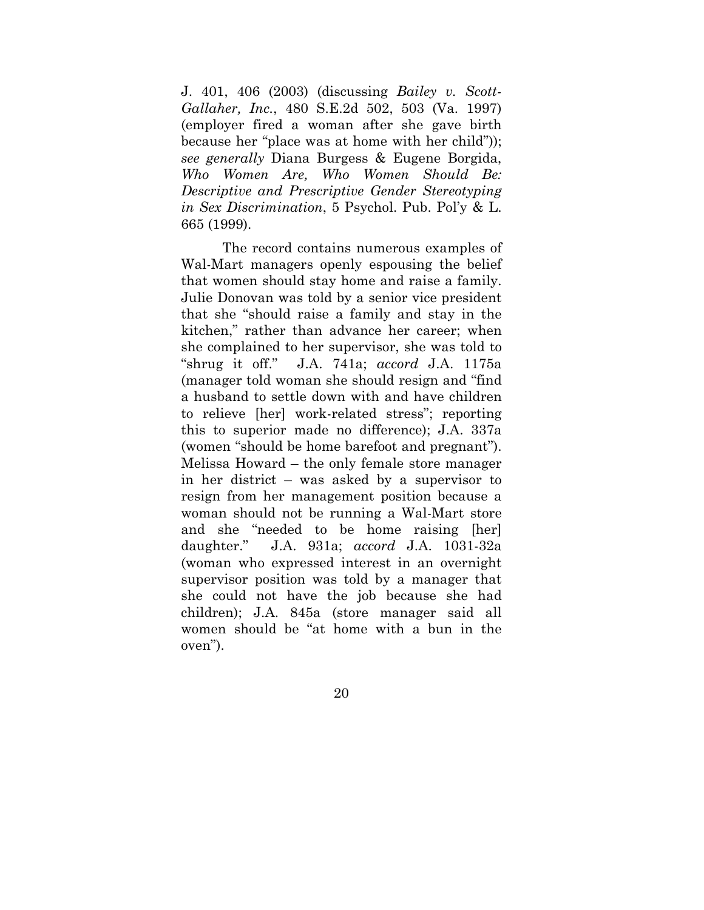J. 401, 406 (2003) (discussing *Bailey v. Scott-Gallaher, Inc.*, 480 S.E.2d 502, 503 (Va. 1997) (employer fired a woman after she gave birth because her "place was at home with her child")); *see generally* Diana Burgess & Eugene Borgida, *Who Women Are, Who Women Should Be: Descriptive and Prescriptive Gender Stereotyping in Sex Discrimination*, 5 Psychol. Pub. Pol'y & L. 665 (1999).

The record contains numerous examples of Wal-Mart managers openly espousing the belief that women should stay home and raise a family. Julie Donovan was told by a senior vice president that she "should raise a family and stay in the kitchen," rather than advance her career; when she complained to her supervisor, she was told to "shrug it off." J.A. 741a; *accord* J.A. 1175a (manager told woman she should resign and "find a husband to settle down with and have children to relieve [her] work-related stress"; reporting this to superior made no difference); J.A. 337a (women "should be home barefoot and pregnant"). Melissa Howard – the only female store manager in her district – was asked by a supervisor to resign from her management position because a woman should not be running a Wal-Mart store and she "needed to be home raising [her] daughter." J.A. 931a; *accord* J.A. 1031-32a (woman who expressed interest in an overnight supervisor position was told by a manager that she could not have the job because she had children); J.A. 845a (store manager said all women should be "at home with a bun in the oven").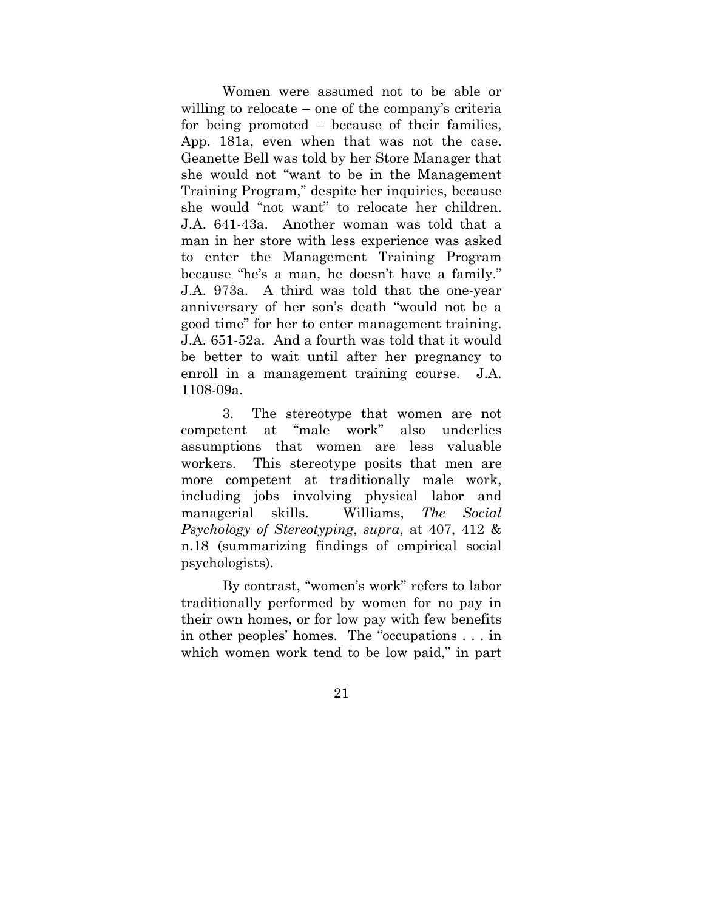Women were assumed not to be able or willing to relocate – one of the company's criteria for being promoted – because of their families, App. 181a, even when that was not the case. Geanette Bell was told by her Store Manager that she would not "want to be in the Management Training Program," despite her inquiries, because she would "not want" to relocate her children. J.A. 641-43a. Another woman was told that a man in her store with less experience was asked to enter the Management Training Program because "he's a man, he doesn't have a family." J.A. 973a. A third was told that the one-year anniversary of her son's death "would not be a good time" for her to enter management training. J.A. 651-52a. And a fourth was told that it would be better to wait until after her pregnancy to enroll in a management training course. J.A. 1108-09a.

3. The stereotype that women are not competent at "male work" also underlies assumptions that women are less valuable workers. This stereotype posits that men are more competent at traditionally male work, including jobs involving physical labor and managerial skills. Williams, *The Social Psychology of Stereotyping*, *supra*, at 407, 412 & n.18 (summarizing findings of empirical social psychologists).

By contrast, "women's work" refers to labor traditionally performed by women for no pay in their own homes, or for low pay with few benefits in other peoples' homes. The "occupations . . . in which women work tend to be low paid," in part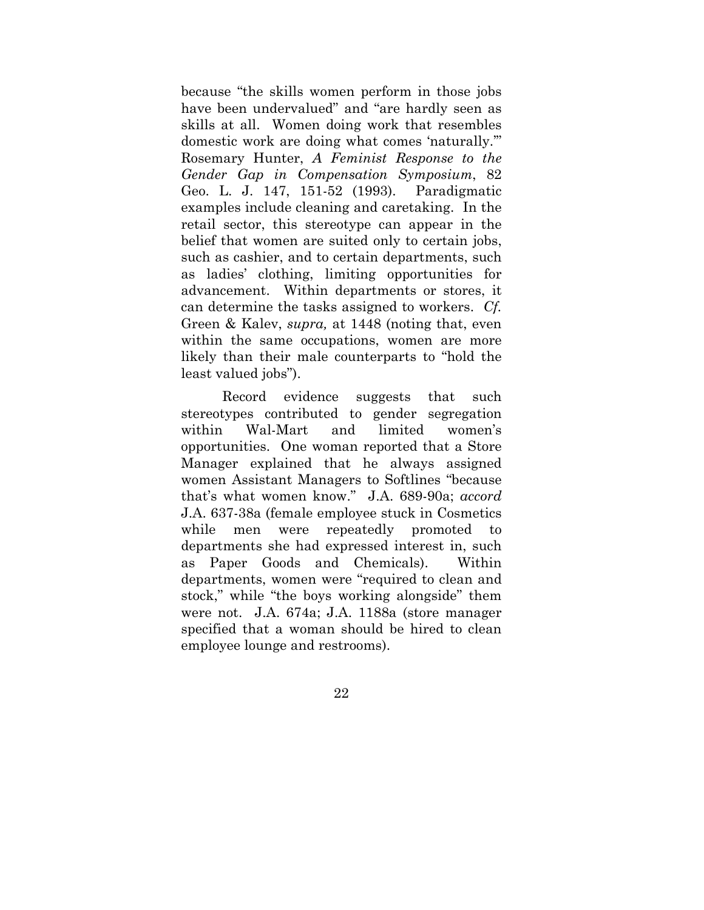because "the skills women perform in those jobs have been undervalued" and "are hardly seen as skills at all. Women doing work that resembles domestic work are doing what comes 'naturally.'" Rosemary Hunter, *A Feminist Response to the Gender Gap in Compensation Symposium*, 82 Geo. L. J. 147, 151-52 (1993). Paradigmatic examples include cleaning and caretaking. In the retail sector, this stereotype can appear in the belief that women are suited only to certain jobs, such as cashier, and to certain departments, such as ladies' clothing, limiting opportunities for advancement. Within departments or stores, it can determine the tasks assigned to workers. *Cf.*  Green & Kalev, *supra,* at 1448 (noting that, even within the same occupations, women are more likely than their male counterparts to "hold the least valued jobs").

Record evidence suggests that such stereotypes contributed to gender segregation within Wal-Mart and limited women's opportunities. One woman reported that a Store Manager explained that he always assigned women Assistant Managers to Softlines "because that's what women know." J.A. 689-90a; *accord* J.A. 637-38a (female employee stuck in Cosmetics while men were repeatedly promoted to departments she had expressed interest in, such as Paper Goods and Chemicals). Within departments, women were "required to clean and stock," while "the boys working alongside" them were not. J.A. 674a; J.A. 1188a (store manager specified that a woman should be hired to clean employee lounge and restrooms).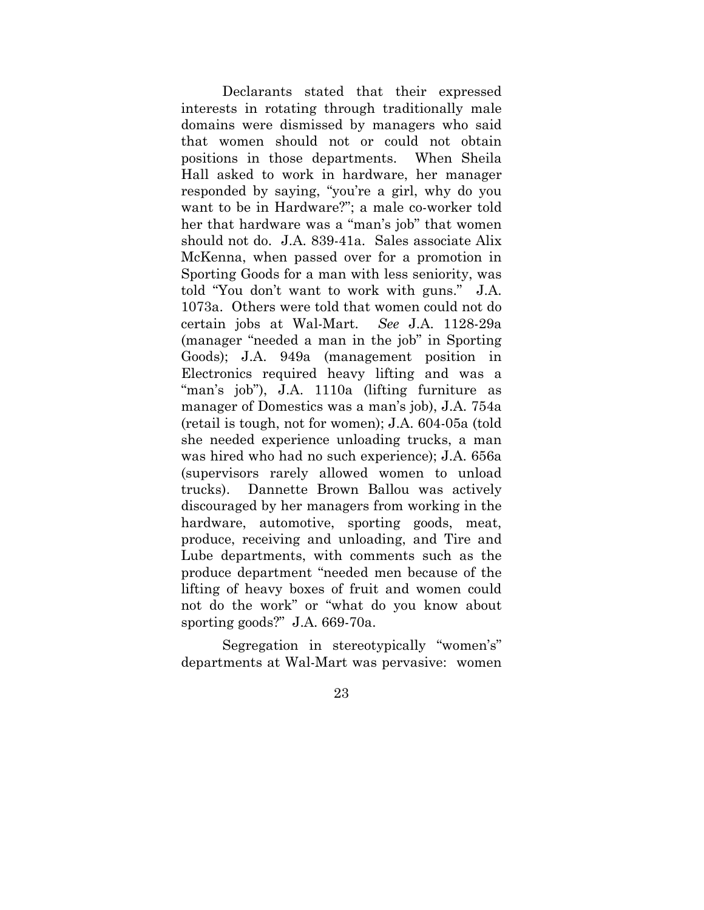Declarants stated that their expressed interests in rotating through traditionally male domains were dismissed by managers who said that women should not or could not obtain positions in those departments. When Sheila Hall asked to work in hardware, her manager responded by saying, "you're a girl, why do you want to be in Hardware?"; a male co-worker told her that hardware was a "man's job" that women should not do. J.A. 839-41a. Sales associate Alix McKenna, when passed over for a promotion in Sporting Goods for a man with less seniority, was told "You don't want to work with guns." J.A. 1073a. Others were told that women could not do certain jobs at Wal-Mart. *See* J.A. 1128-29a (manager "needed a man in the job" in Sporting Goods); J.A. 949a (management position in Electronics required heavy lifting and was a "man's job"), J.A. 1110a (lifting furniture as manager of Domestics was a man's job), J.A. 754a (retail is tough, not for women); J.A. 604-05a (told she needed experience unloading trucks, a man was hired who had no such experience); J.A. 656a (supervisors rarely allowed women to unload trucks). Dannette Brown Ballou was actively discouraged by her managers from working in the hardware, automotive, sporting goods, meat, produce, receiving and unloading, and Tire and Lube departments, with comments such as the produce department "needed men because of the lifting of heavy boxes of fruit and women could not do the work" or "what do you know about sporting goods?" J.A. 669-70a.

Segregation in stereotypically "women's" departments at Wal-Mart was pervasive: women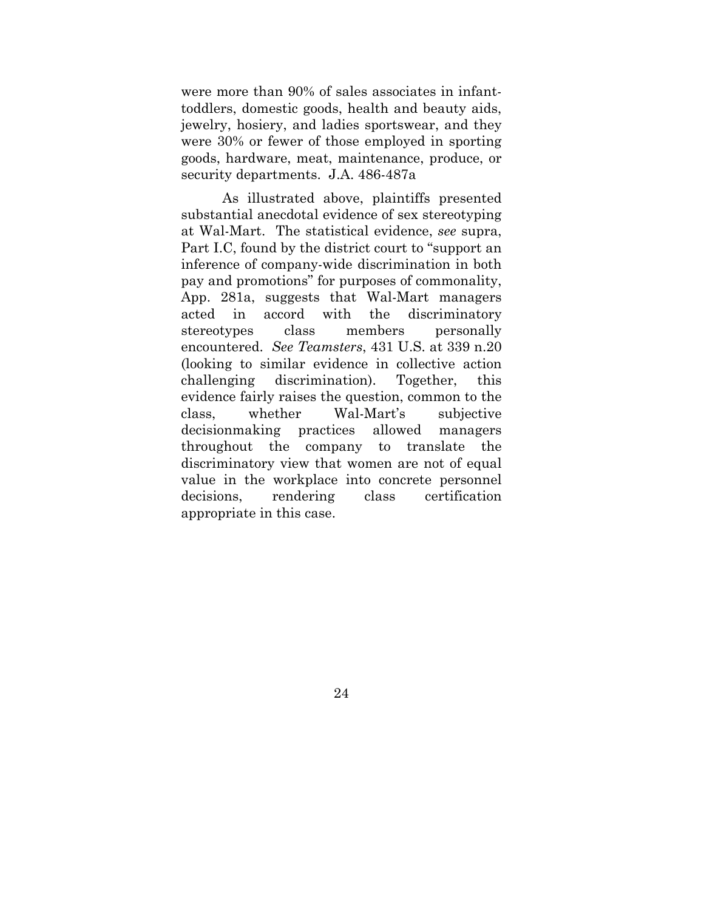were more than 90% of sales associates in infanttoddlers, domestic goods, health and beauty aids, jewelry, hosiery, and ladies sportswear, and they were 30% or fewer of those employed in sporting goods, hardware, meat, maintenance, produce, or security departments. J.A. 486-487a

As illustrated above, plaintiffs presented substantial anecdotal evidence of sex stereotyping at Wal-Mart. The statistical evidence, *see* supra, Part I.C, found by the district court to "support an inference of company-wide discrimination in both pay and promotions" for purposes of commonality, App. 281a, suggests that Wal-Mart managers acted in accord with the discriminatory stereotypes class members personally encountered. *See Teamsters*, 431 U.S. at 339 n.20 (looking to similar evidence in collective action challenging discrimination). Together, this evidence fairly raises the question, common to the class, whether Wal-Mart's subjective decisionmaking practices allowed managers throughout the company to translate the discriminatory view that women are not of equal value in the workplace into concrete personnel decisions, rendering class certification appropriate in this case.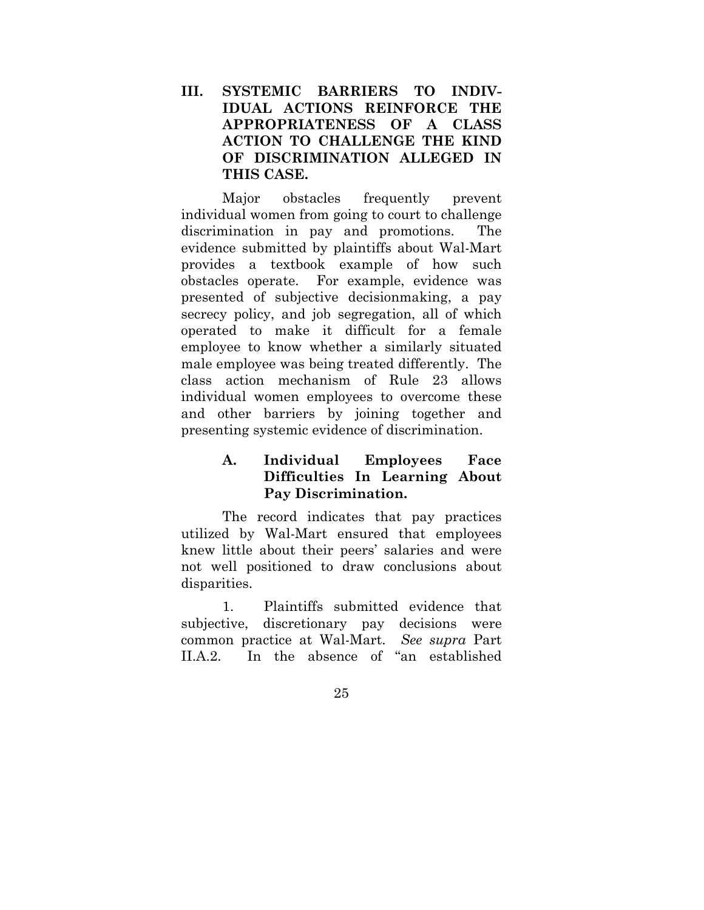# **III. SYSTEMIC BARRIERS TO INDIV-IDUAL ACTIONS REINFORCE THE APPROPRIATENESS OF A CLASS ACTION TO CHALLENGE THE KIND OF DISCRIMINATION ALLEGED IN THIS CASE.**

Major obstacles frequently prevent individual women from going to court to challenge discrimination in pay and promotions. The evidence submitted by plaintiffs about Wal-Mart provides a textbook example of how such obstacles operate. For example, evidence was presented of subjective decisionmaking, a pay secrecy policy, and job segregation, all of which operated to make it difficult for a female employee to know whether a similarly situated male employee was being treated differently. The class action mechanism of Rule 23 allows individual women employees to overcome these and other barriers by joining together and presenting systemic evidence of discrimination.

## **A. Individual Employees Face Difficulties In Learning About Pay Discrimination.**

The record indicates that pay practices utilized by Wal-Mart ensured that employees knew little about their peers' salaries and were not well positioned to draw conclusions about disparities.

1. Plaintiffs submitted evidence that subjective, discretionary pay decisions were common practice at Wal-Mart. *See supra* Part II.A.2. In the absence of "an established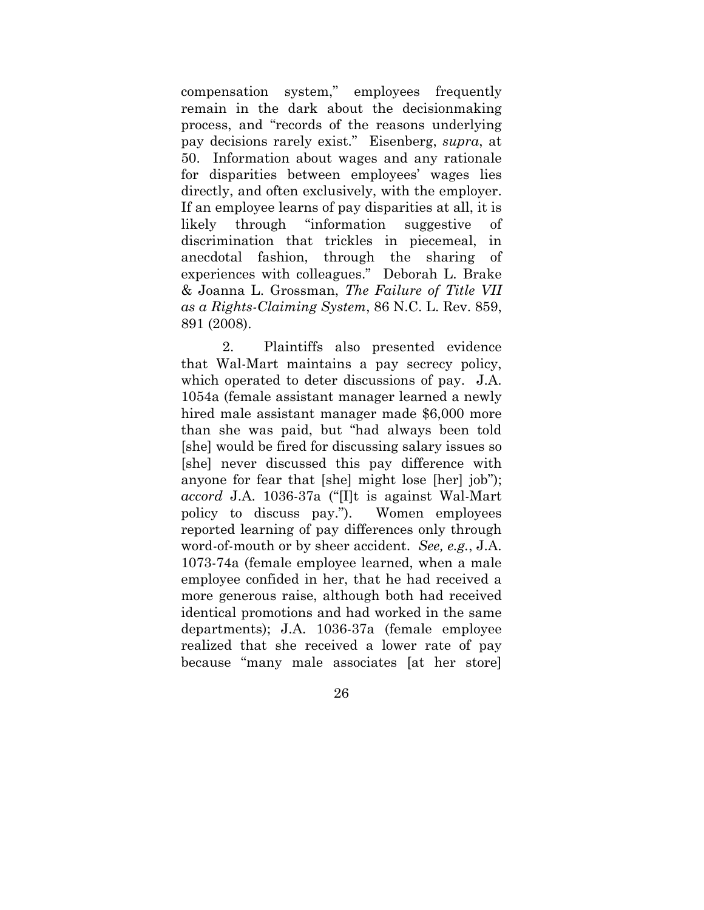compensation system," employees frequently remain in the dark about the decisionmaking process, and "records of the reasons underlying pay decisions rarely exist." Eisenberg, *supra*, at 50. Information about wages and any rationale for disparities between employees' wages lies directly, and often exclusively, with the employer. If an employee learns of pay disparities at all, it is likely through "information suggestive of discrimination that trickles in piecemeal, in anecdotal fashion, through the sharing of experiences with colleagues." Deborah L. Brake & Joanna L. Grossman, *The Failure of Title VII as a Rights-Claiming System*, 86 N.C. L. Rev. 859, 891 (2008).

2. Plaintiffs also presented evidence that Wal-Mart maintains a pay secrecy policy, which operated to deter discussions of pay. J.A. 1054a (female assistant manager learned a newly hired male assistant manager made \$6,000 more than she was paid, but "had always been told [she] would be fired for discussing salary issues so [she] never discussed this pay difference with anyone for fear that [she] might lose [her] job"); *accord* J.A. 1036-37a ("[I]t is against Wal-Mart policy to discuss pay."). Women employees reported learning of pay differences only through word-of-mouth or by sheer accident. *See, e.g.*, J.A. 1073-74a (female employee learned, when a male employee confided in her, that he had received a more generous raise, although both had received identical promotions and had worked in the same departments); J.A. 1036-37a (female employee realized that she received a lower rate of pay because "many male associates [at her store]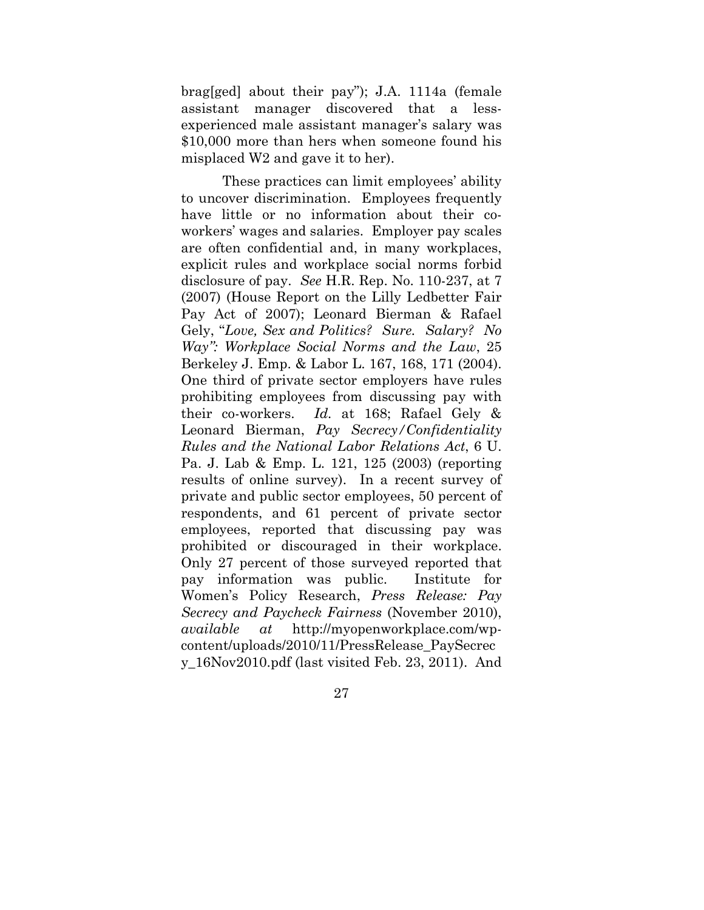brag[ged] about their pay"); J.A. 1114a (female assistant manager discovered that a lessexperienced male assistant manager's salary was \$10,000 more than hers when someone found his misplaced W2 and gave it to her).

 These practices can limit employees' ability to uncover discrimination. Employees frequently have little or no information about their coworkers' wages and salaries. Employer pay scales are often confidential and, in many workplaces, explicit rules and workplace social norms forbid disclosure of pay. *See* H.R. Rep. No. 110-237, at 7 (2007) (House Report on the Lilly Ledbetter Fair Pay Act of 2007); Leonard Bierman & Rafael Gely, "*Love, Sex and Politics? Sure. Salary? No Way": Workplace Social Norms and the Law*, 25 Berkeley J. Emp. & Labor L. 167, 168, 171 (2004). One third of private sector employers have rules prohibiting employees from discussing pay with their co-workers. *Id.* at 168; Rafael Gely & Leonard Bierman, *Pay Secrecy/Confidentiality Rules and the National Labor Relations Act*, 6 U. Pa. J. Lab & Emp. L. 121, 125 (2003) (reporting results of online survey). In a recent survey of private and public sector employees, 50 percent of respondents, and 61 percent of private sector employees, reported that discussing pay was prohibited or discouraged in their workplace. Only 27 percent of those surveyed reported that pay information was public. Institute for Women's Policy Research, *Press Release: Pay Secrecy and Paycheck Fairness* (November 2010), *available at* http://myopenworkplace.com/wpcontent/uploads/2010/11/PressRelease\_PaySecrec y\_16Nov2010.pdf (last visited Feb. 23, 2011). And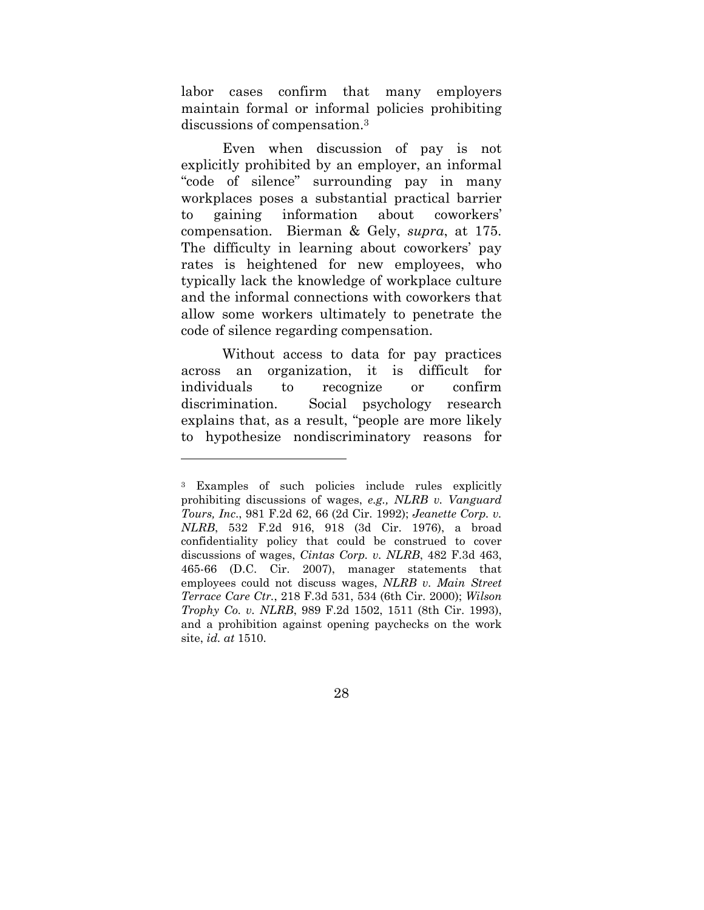labor cases confirm that many employers maintain formal or informal policies prohibiting discussions of compensation.3

Even when discussion of pay is not explicitly prohibited by an employer, an informal "code of silence" surrounding pay in many workplaces poses a substantial practical barrier to gaining information about coworkers' compensation. Bierman & Gely, *supra*, at 175. The difficulty in learning about coworkers' pay rates is heightened for new employees, who typically lack the knowledge of workplace culture and the informal connections with coworkers that allow some workers ultimately to penetrate the code of silence regarding compensation.

Without access to data for pay practices across an organization, it is difficult for individuals to recognize or confirm discrimination. Social psychology research explains that, as a result, "people are more likely to hypothesize nondiscriminatory reasons for

<sup>3</sup> Examples of such policies include rules explicitly prohibiting discussions of wages, *e.g., NLRB v. Vanguard Tours, Inc*., 981 F.2d 62, 66 (2d Cir. 1992); *Jeanette Corp. v. NLRB*, 532 F.2d 916, 918 (3d Cir. 1976), a broad confidentiality policy that could be construed to cover discussions of wages, *Cintas Corp. v. NLRB*, 482 F.3d 463, 465-66 (D.C. Cir. 2007), manager statements that employees could not discuss wages, *NLRB v. Main Street Terrace Care Ctr.*, 218 F.3d 531, 534 (6th Cir. 2000); *Wilson Trophy Co. v. NLRB*, 989 F.2d 1502, 1511 (8th Cir. 1993), and a prohibition against opening paychecks on the work site, *id. at* 1510.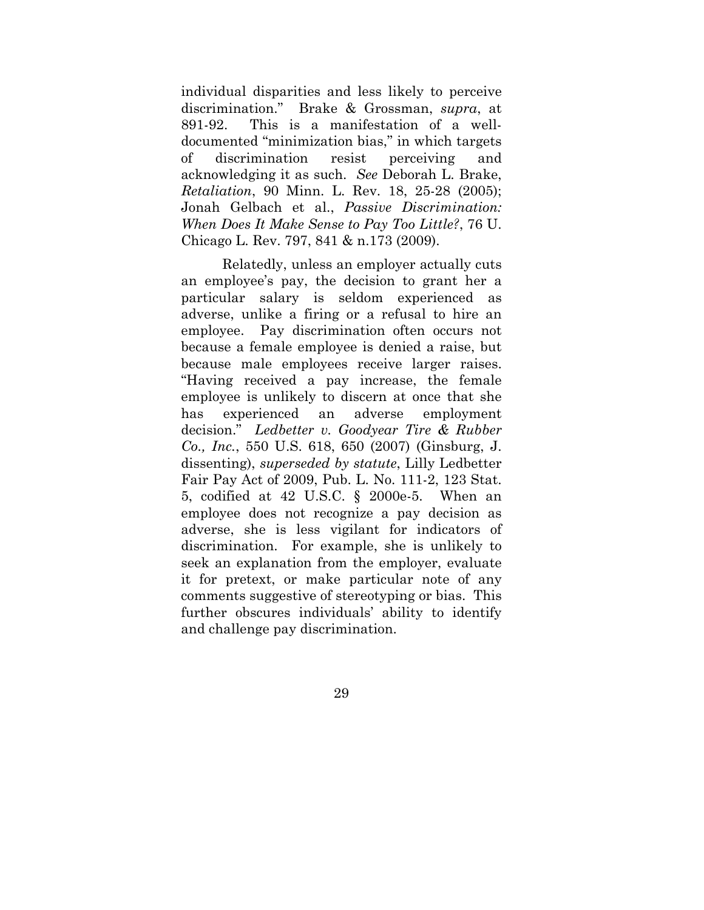individual disparities and less likely to perceive discrimination." Brake & Grossman, *supra*, at 891-92. This is a manifestation of a welldocumented "minimization bias," in which targets of discrimination resist perceiving and acknowledging it as such. *See* Deborah L. Brake, *Retaliation*, 90 Minn. L. Rev. 18, 25-28 (2005); Jonah Gelbach et al., *Passive Discrimination: When Does It Make Sense to Pay Too Little?*, 76 U. Chicago L. Rev. 797, 841 & n.173 (2009).

Relatedly, unless an employer actually cuts an employee's pay, the decision to grant her a particular salary is seldom experienced as adverse, unlike a firing or a refusal to hire an employee. Pay discrimination often occurs not because a female employee is denied a raise, but because male employees receive larger raises. "Having received a pay increase, the female employee is unlikely to discern at once that she has experienced an adverse employment decision." *Ledbetter v. Goodyear Tire & Rubber Co., Inc.*, 550 U.S. 618, 650 (2007) (Ginsburg, J. dissenting), *superseded by statute*, Lilly Ledbetter Fair Pay Act of 2009, Pub. L. No. 111-2, 123 Stat. 5, codified at 42 U.S.C. § 2000e-5. When an employee does not recognize a pay decision as adverse, she is less vigilant for indicators of discrimination. For example, she is unlikely to seek an explanation from the employer, evaluate it for pretext, or make particular note of any comments suggestive of stereotyping or bias. This further obscures individuals' ability to identify and challenge pay discrimination.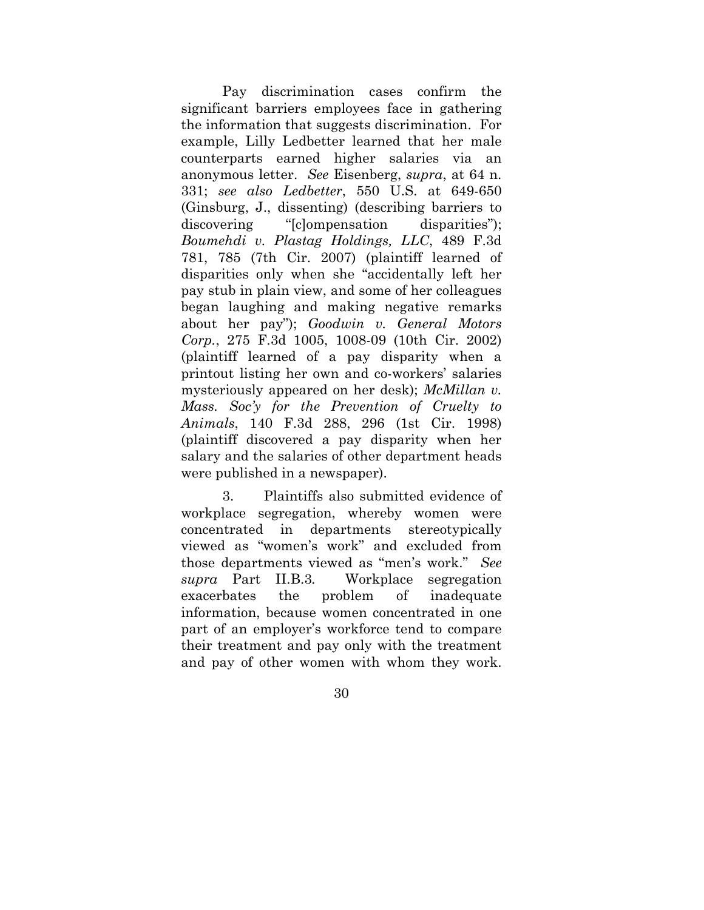Pay discrimination cases confirm the significant barriers employees face in gathering the information that suggests discrimination. For example, Lilly Ledbetter learned that her male counterparts earned higher salaries via an anonymous letter. *See* Eisenberg, *supra*, at 64 n. 331; *see also Ledbetter*, 550 U.S. at 649-650 (Ginsburg, J., dissenting) (describing barriers to discovering "[c]ompensation disparities"); *Boumehdi v. Plastag Holdings, LLC*, 489 F.3d 781, 785 (7th Cir. 2007) (plaintiff learned of disparities only when she "accidentally left her pay stub in plain view, and some of her colleagues began laughing and making negative remarks about her pay"); *Goodwin v. General Motors Corp.*, 275 F.3d 1005, 1008-09 (10th Cir. 2002) (plaintiff learned of a pay disparity when a printout listing her own and co-workers' salaries mysteriously appeared on her desk); *McMillan v. Mass. Soc'y for the Prevention of Cruelty to Animals*, 140 F.3d 288, 296 (1st Cir. 1998) (plaintiff discovered a pay disparity when her salary and the salaries of other department heads were published in a newspaper).

3. Plaintiffs also submitted evidence of workplace segregation, whereby women were concentrated in departments stereotypically viewed as "women's work" and excluded from those departments viewed as "men's work." *See supra* Part II.B.3*.* Workplace segregation exacerbates the problem of inadequate information, because women concentrated in one part of an employer's workforce tend to compare their treatment and pay only with the treatment and pay of other women with whom they work.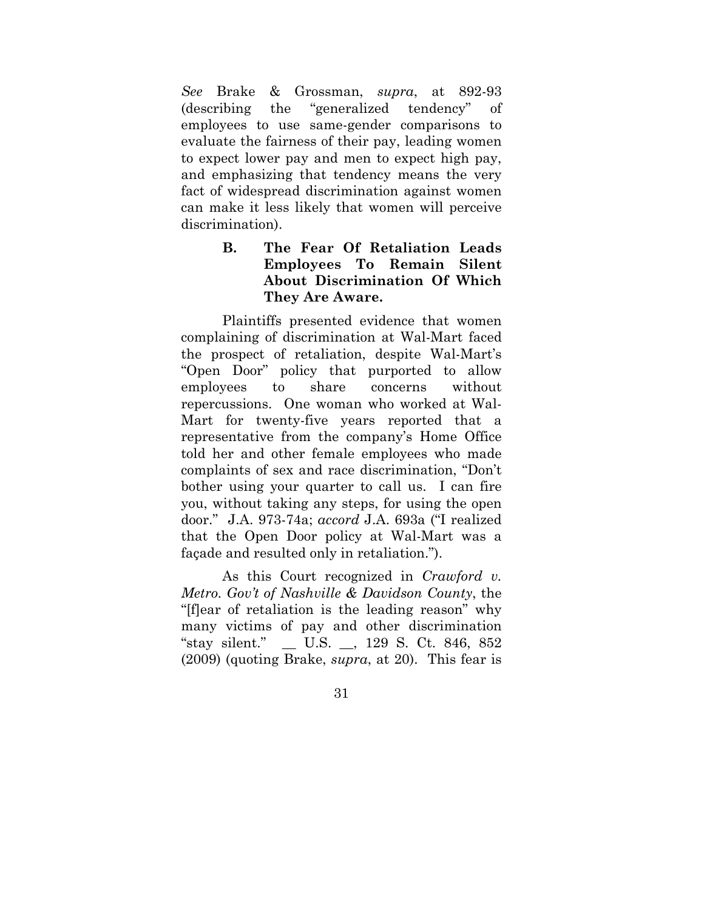*See* Brake & Grossman, *supra*, at 892-93 (describing the "generalized tendency" of employees to use same-gender comparisons to evaluate the fairness of their pay, leading women to expect lower pay and men to expect high pay, and emphasizing that tendency means the very fact of widespread discrimination against women can make it less likely that women will perceive discrimination).

# **B. The Fear Of Retaliation Leads Employees To Remain Silent About Discrimination Of Which They Are Aware.**

Plaintiffs presented evidence that women complaining of discrimination at Wal-Mart faced the prospect of retaliation, despite Wal-Mart's "Open Door" policy that purported to allow employees to share concerns without repercussions. One woman who worked at Wal-Mart for twenty-five years reported that a representative from the company's Home Office told her and other female employees who made complaints of sex and race discrimination, "Don't bother using your quarter to call us. I can fire you, without taking any steps, for using the open door." J.A. 973-74a; *accord* J.A. 693a ("I realized that the Open Door policy at Wal-Mart was a façade and resulted only in retaliation.").

As this Court recognized in *Crawford v. Metro. Gov't of Nashville & Davidson County*, the "[f]ear of retaliation is the leading reason" why many victims of pay and other discrimination "stay silent." \_\_ U.S. \_\_, 129 S. Ct. 846, 852 (2009) (quoting Brake, *supra*, at 20). This fear is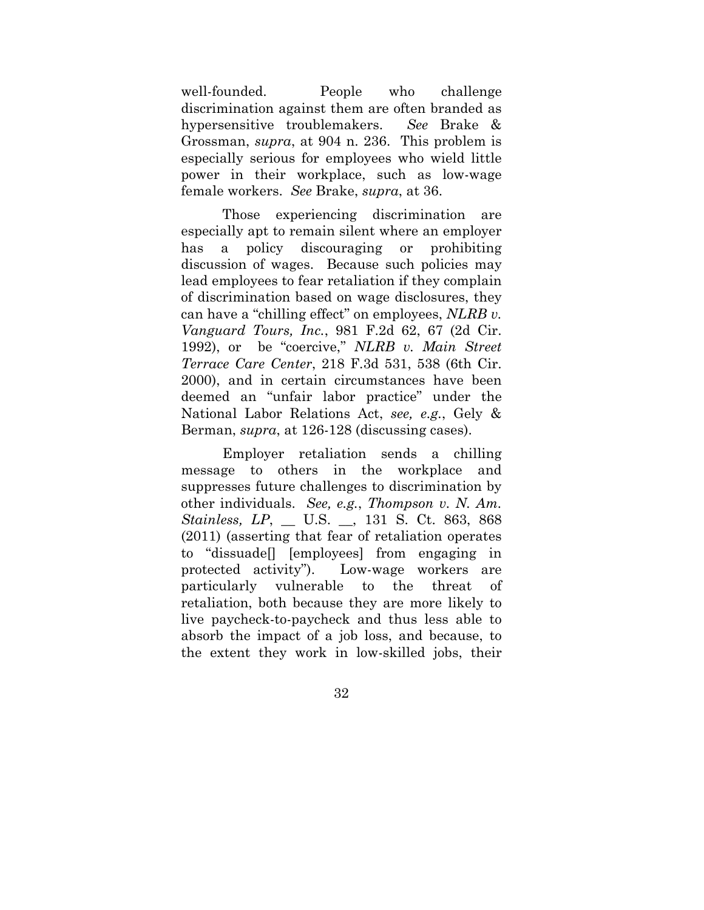well-founded. People who challenge discrimination against them are often branded as hypersensitive troublemakers. *See* Brake & Grossman, *supra*, at 904 n. 236. This problem is especially serious for employees who wield little power in their workplace, such as low-wage female workers. *See* Brake, *supra*, at 36.

Those experiencing discrimination are especially apt to remain silent where an employer has a policy discouraging or prohibiting discussion of wages. Because such policies may lead employees to fear retaliation if they complain of discrimination based on wage disclosures, they can have a "chilling effect" on employees, *NLRB v. Vanguard Tours, Inc.*, 981 F.2d 62, 67 (2d Cir. 1992), or be "coercive," *NLRB v. Main Street Terrace Care Center*, 218 F.3d 531, 538 (6th Cir. 2000), and in certain circumstances have been deemed an "unfair labor practice" under the National Labor Relations Act, *see, e.g.*, Gely & Berman, *supra*, at 126-128 (discussing cases).

 Employer retaliation sends a chilling message to others in the workplace and suppresses future challenges to discrimination by other individuals. *See, e.g.*, *Thompson v. N. Am. Stainless, LP*, \_\_ U.S. \_\_, 131 S. Ct. 863, 868 (2011) (asserting that fear of retaliation operates to "dissuade[] [employees] from engaging in protected activity"). Low-wage workers are particularly vulnerable to the threat of retaliation, both because they are more likely to live paycheck-to-paycheck and thus less able to absorb the impact of a job loss, and because, to the extent they work in low-skilled jobs, their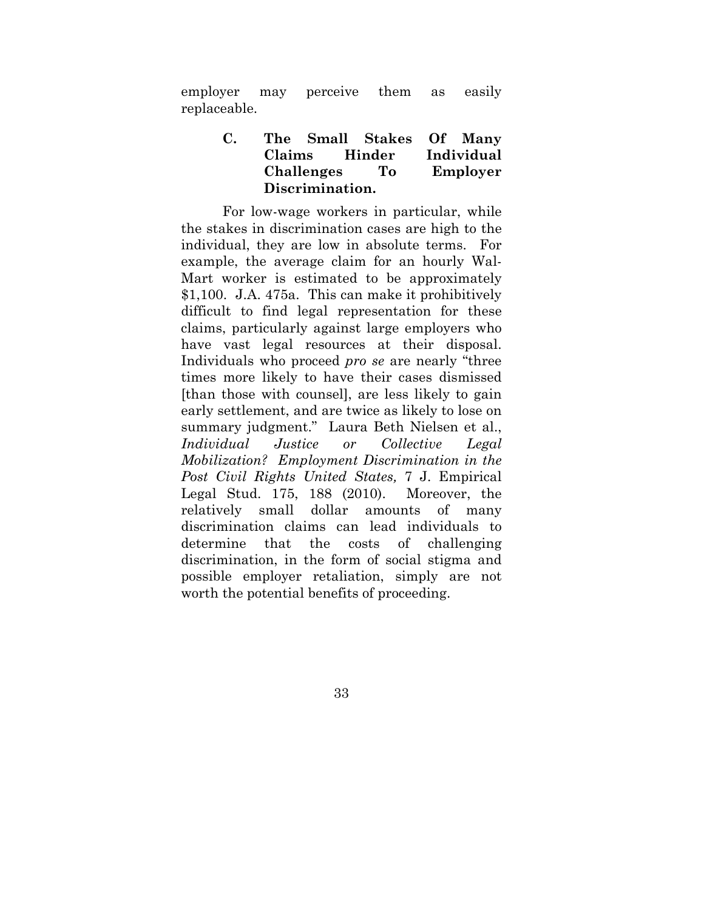employer may perceive them as easily replaceable.

## **C. The Small Stakes Of Many Claims Hinder Individual Challenges To Employer Discrimination.**

For low-wage workers in particular, while the stakes in discrimination cases are high to the individual, they are low in absolute terms. For example, the average claim for an hourly Wal-Mart worker is estimated to be approximately \$1,100. J.A. 475a. This can make it prohibitively difficult to find legal representation for these claims, particularly against large employers who have vast legal resources at their disposal. Individuals who proceed *pro se* are nearly "three times more likely to have their cases dismissed [than those with counsel], are less likely to gain early settlement, and are twice as likely to lose on summary judgment." Laura Beth Nielsen et al., *Individual Justice or Collective Legal Mobilization? Employment Discrimination in the Post Civil Rights United States,* 7 J. Empirical Legal Stud. 175, 188 (2010). Moreover, the relatively small dollar amounts of many discrimination claims can lead individuals to determine that the costs of challenging discrimination, in the form of social stigma and possible employer retaliation, simply are not worth the potential benefits of proceeding.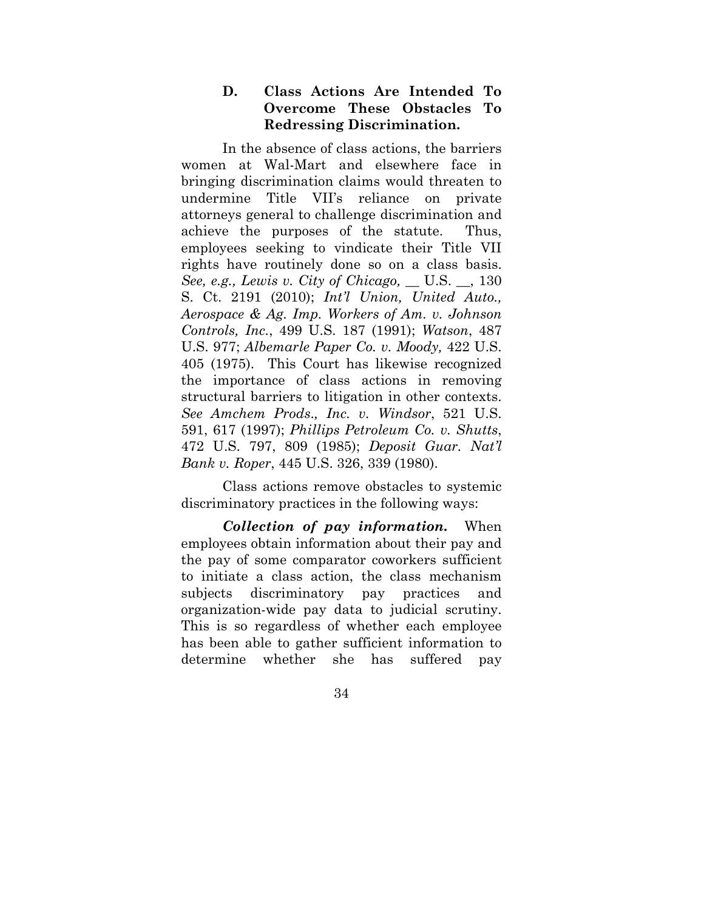## **D. Class Actions Are Intended To Overcome These Obstacles To Redressing Discrimination.**

In the absence of class actions, the barriers women at Wal-Mart and elsewhere face in bringing discrimination claims would threaten to undermine Title VII's reliance on private attorneys general to challenge discrimination and achieve the purposes of the statute. Thus, employees seeking to vindicate their Title VII rights have routinely done so on a class basis. *See, e.g., Lewis v. City of Chicago,* \_\_ U.S. \_\_, 130 S. Ct. 2191 (2010); *Int'l Union, United Auto., Aerospace & Ag. Imp. Workers of Am. v. Johnson Controls, Inc.*, 499 U.S. 187 (1991); *Watson*, 487 U.S. 977; *Albemarle Paper Co. v. Moody,* 422 U.S. 405 (1975). This Court has likewise recognized the importance of class actions in removing structural barriers to litigation in other contexts. *See Amchem Prods*.*, Inc. v. Windsor*, 521 U.S. 591, 617 (1997); *Phillips Petroleum Co. v. Shutts*, 472 U.S. 797, 809 (1985); *Deposit Guar. Nat'l Bank v. Roper*, 445 U.S. 326, 339 (1980).

Class actions remove obstacles to systemic discriminatory practices in the following ways:

*Collection of pay information.* When employees obtain information about their pay and the pay of some comparator coworkers sufficient to initiate a class action, the class mechanism subjects discriminatory pay practices and organization-wide pay data to judicial scrutiny. This is so regardless of whether each employee has been able to gather sufficient information to determine whether she has suffered pay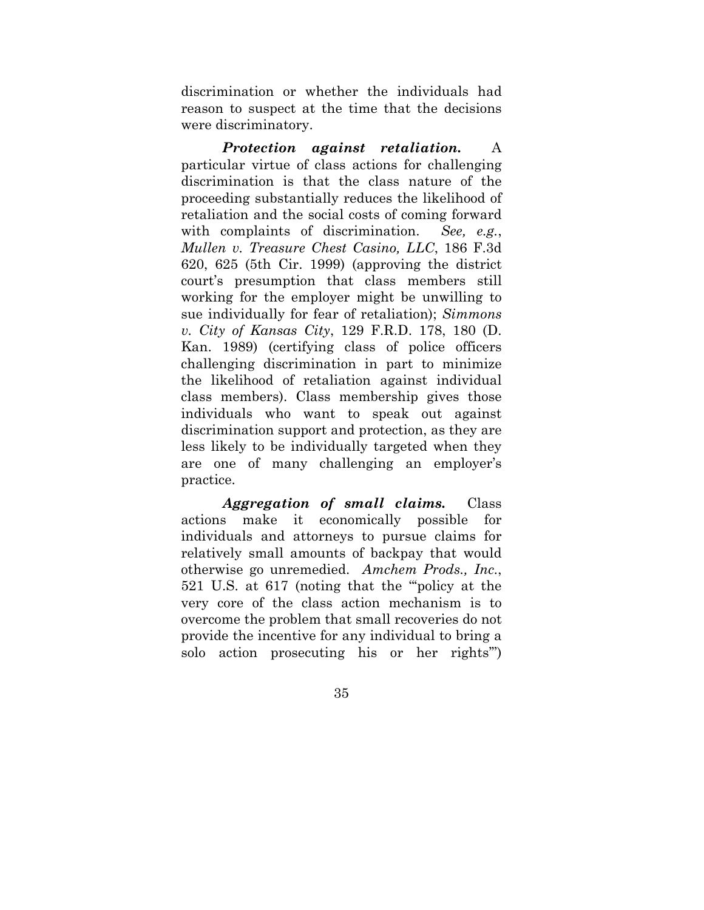discrimination or whether the individuals had reason to suspect at the time that the decisions were discriminatory.

*Protection against retaliation.* A particular virtue of class actions for challenging discrimination is that the class nature of the proceeding substantially reduces the likelihood of retaliation and the social costs of coming forward with complaints of discrimination. *See, e.g.*, *Mullen v. Treasure Chest Casino, LLC*, 186 F.3d 620, 625 (5th Cir. 1999) (approving the district court's presumption that class members still working for the employer might be unwilling to sue individually for fear of retaliation); *Simmons v. City of Kansas City*, 129 F.R.D. 178, 180 (D. Kan. 1989) (certifying class of police officers challenging discrimination in part to minimize the likelihood of retaliation against individual class members). Class membership gives those individuals who want to speak out against discrimination support and protection, as they are less likely to be individually targeted when they are one of many challenging an employer's practice.

*Aggregation of small claims.* Class actions make it economically possible for individuals and attorneys to pursue claims for relatively small amounts of backpay that would otherwise go unremedied. *Amchem Prods., Inc.*, 521 U.S. at 617 (noting that the "'policy at the very core of the class action mechanism is to overcome the problem that small recoveries do not provide the incentive for any individual to bring a solo action prosecuting his or her rights'")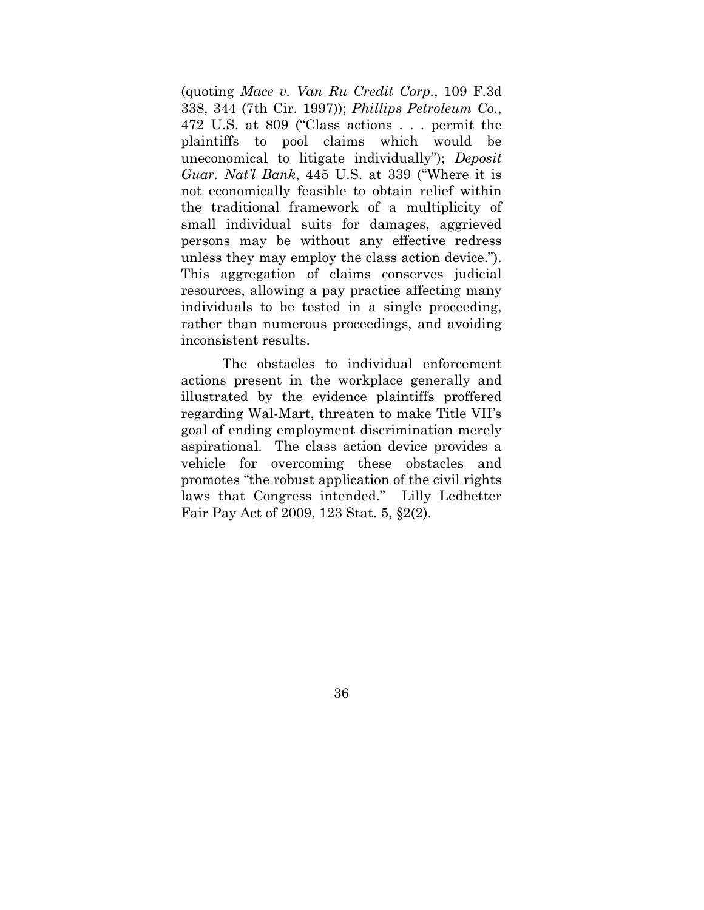(quoting *Mace v. Van Ru Credit Corp.*, 109 F.3d 338, 344 (7th Cir. 1997)); *Phillips Petroleum Co.*, 472 U.S. at 809 ("Class actions . . . permit the plaintiffs to pool claims which would be uneconomical to litigate individually"); *Deposit Guar. Nat'l Bank*, 445 U.S. at 339 ("Where it is not economically feasible to obtain relief within the traditional framework of a multiplicity of small individual suits for damages, aggrieved persons may be without any effective redress unless they may employ the class action device."). This aggregation of claims conserves judicial resources, allowing a pay practice affecting many individuals to be tested in a single proceeding, rather than numerous proceedings, and avoiding inconsistent results.

 The obstacles to individual enforcement actions present in the workplace generally and illustrated by the evidence plaintiffs proffered regarding Wal-Mart, threaten to make Title VII's goal of ending employment discrimination merely aspirational. The class action device provides a vehicle for overcoming these obstacles and promotes "the robust application of the civil rights laws that Congress intended." Lilly Ledbetter Fair Pay Act of 2009, 123 Stat. 5, §2(2).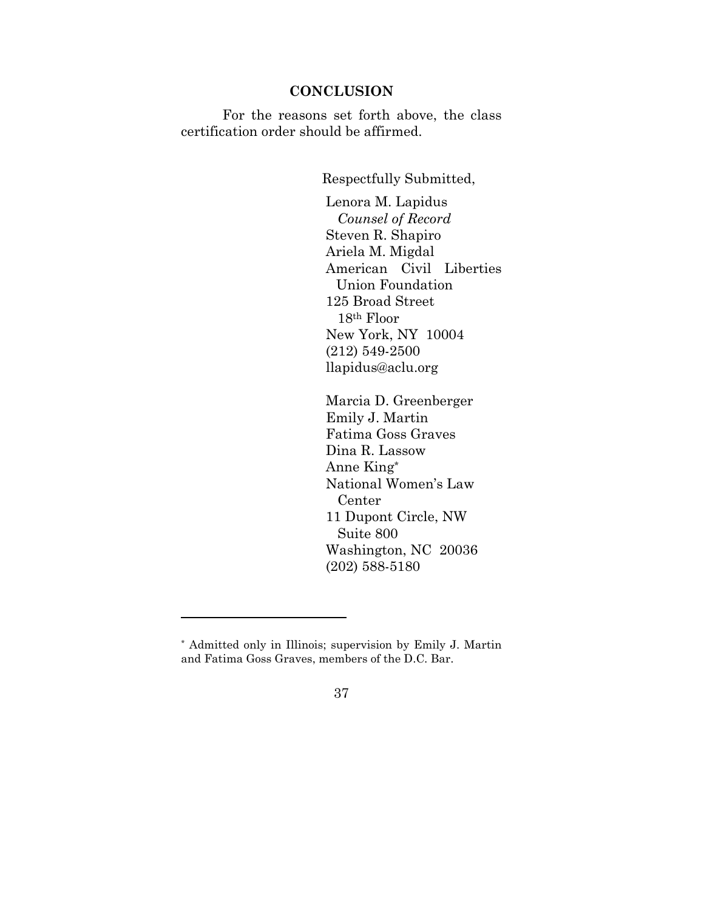#### **CONCLUSION**

For the reasons set forth above, the class certification order should be affirmed.

Respectfully Submitted,

Lenora M. Lapidus  *Counsel of Record*  Steven R. Shapiro Ariela M. Migdal American Civil Liberties Union Foundation 125 Broad Street 18th Floor New York, NY 10004 (212) 549-2500 llapidus@aclu.org

Marcia D. Greenberger Emily J. Martin Fatima Goss Graves Dina R. Lassow Anne King\* National Women's Law Center 11 Dupont Circle, NW Suite 800 Washington, NC 20036 (202) 588-5180

<sup>\*</sup> Admitted only in Illinois; supervision by Emily J. Martin and Fatima Goss Graves, members of the D.C. Bar.

<sup>37</sup>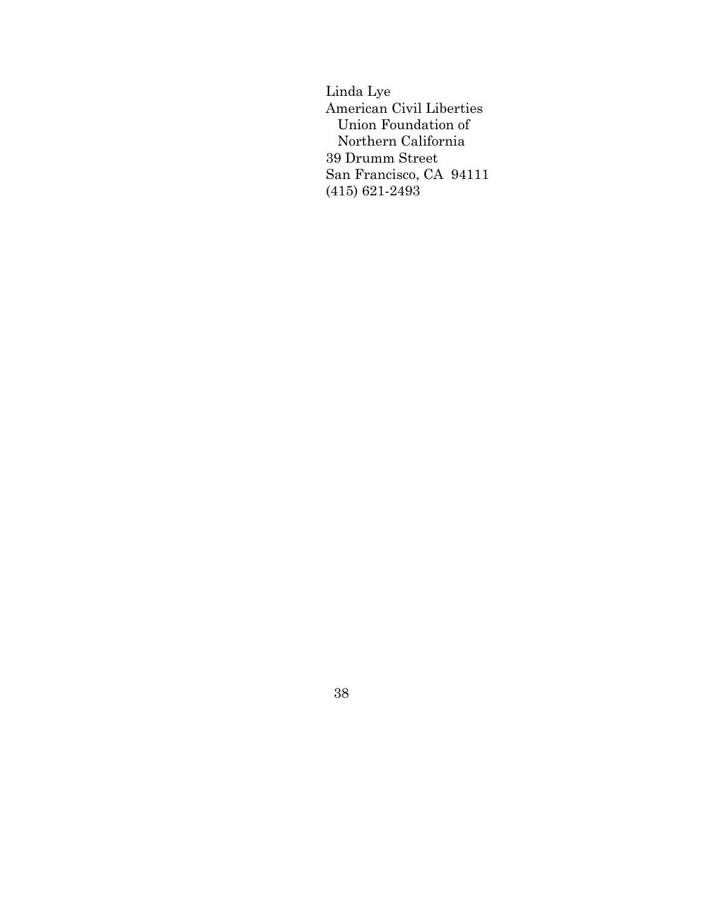Linda Lye American Civil Liberties Union Foundation of Northern California 39 Drumm Street San Francisco, CA 94111 (415) 621-2493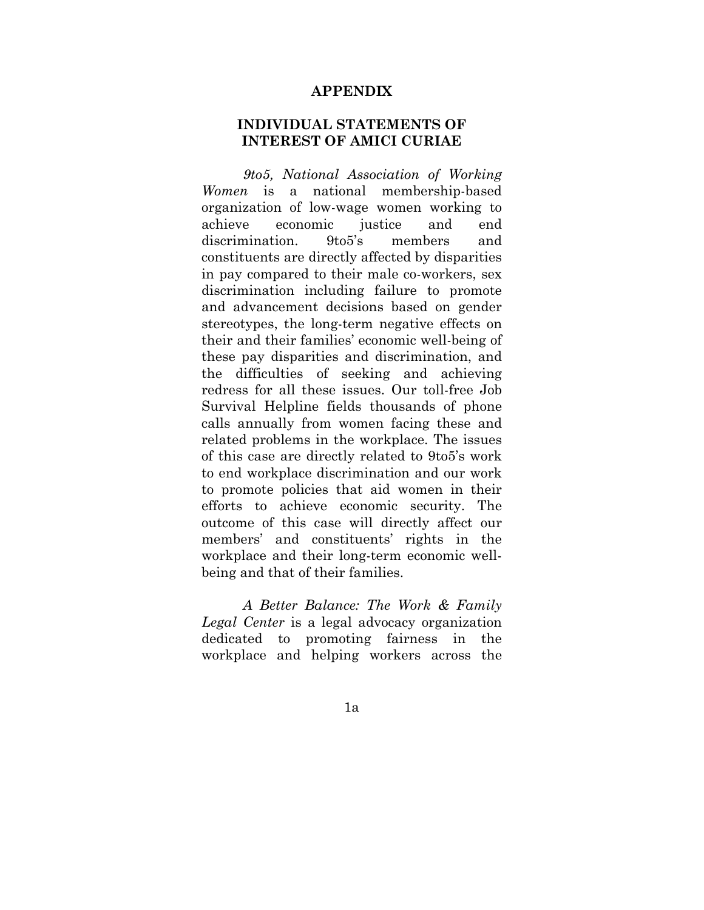#### **APPENDIX**

### **INDIVIDUAL STATEMENTS OF INTEREST OF AMICI CURIAE**

 *9to5, National Association of Working Women* is a national membership-based organization of low-wage women working to achieve economic justice and end discrimination. 9to5's members and constituents are directly affected by disparities in pay compared to their male co-workers, sex discrimination including failure to promote and advancement decisions based on gender stereotypes, the long-term negative effects on their and their families' economic well-being of these pay disparities and discrimination, and the difficulties of seeking and achieving redress for all these issues. Our toll-free Job Survival Helpline fields thousands of phone calls annually from women facing these and related problems in the workplace. The issues of this case are directly related to 9to5's work to end workplace discrimination and our work to promote policies that aid women in their efforts to achieve economic security. The outcome of this case will directly affect our members' and constituents' rights in the workplace and their long-term economic wellbeing and that of their families.

*A Better Balance: The Work & Family Legal Center* is a legal advocacy organization dedicated to promoting fairness in the workplace and helping workers across the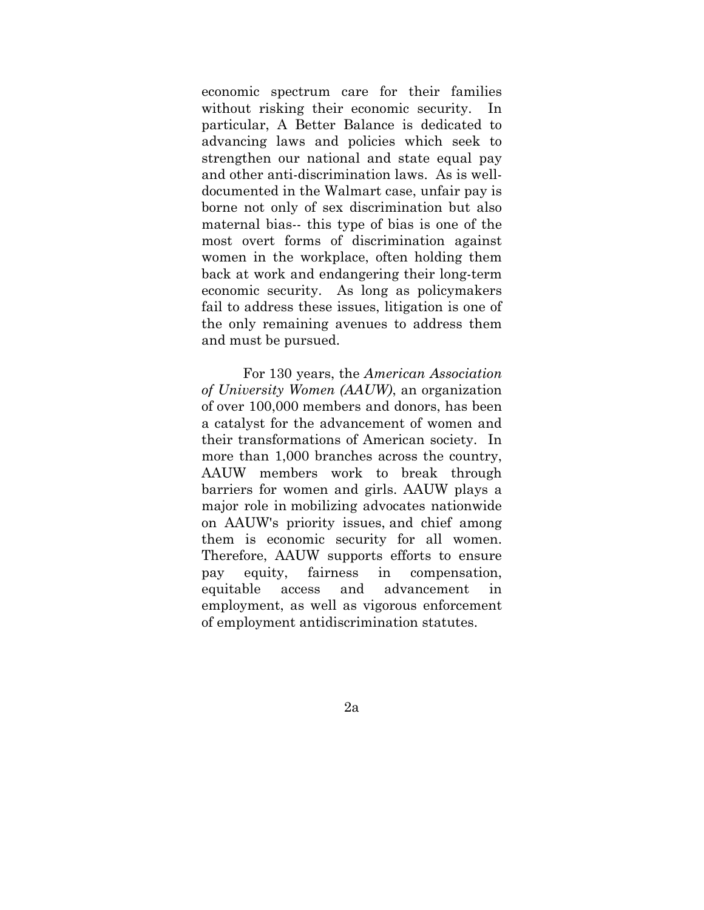economic spectrum care for their families without risking their economic security. In particular, A Better Balance is dedicated to advancing laws and policies which seek to strengthen our national and state equal pay and other anti-discrimination laws. As is welldocumented in the Walmart case, unfair pay is borne not only of sex discrimination but also maternal bias-- this type of bias is one of the most overt forms of discrimination against women in the workplace, often holding them back at work and endangering their long-term economic security. As long as policymakers fail to address these issues, litigation is one of the only remaining avenues to address them and must be pursued.

For 130 years, the *American Association of University Women (AAUW)*, an organization of over 100,000 members and donors, has been a catalyst for the advancement of women and their transformations of American society. In more than 1,000 branches across the country, AAUW members work to break through barriers for women and girls. AAUW plays a major role in mobilizing advocates nationwide on AAUW's priority issues, and chief among them is economic security for all women. Therefore, AAUW supports efforts to ensure pay equity, fairness in compensation, equitable access and advancement in employment, as well as vigorous enforcement of employment antidiscrimination statutes.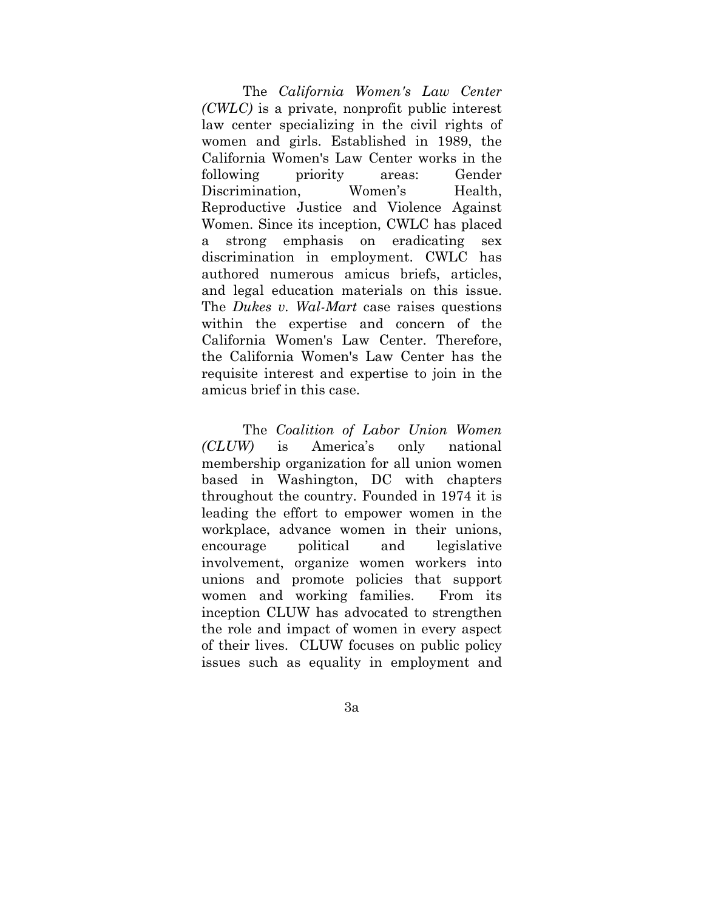The *California Women's Law Center (CWLC)* is a private, nonprofit public interest law center specializing in the civil rights of women and girls. Established in 1989, the California Women's Law Center works in the following priority areas: Gender Discrimination, Women's Health, Reproductive Justice and Violence Against Women. Since its inception, CWLC has placed a strong emphasis on eradicating sex discrimination in employment. CWLC has authored numerous amicus briefs, articles, and legal education materials on this issue. The *Dukes v. Wal-Mart* case raises questions within the expertise and concern of the California Women's Law Center. Therefore, the California Women's Law Center has the requisite interest and expertise to join in the amicus brief in this case.

 The *Coalition of Labor Union Women (CLUW)* is America's only national membership organization for all union women based in Washington, DC with chapters throughout the country. Founded in 1974 it is leading the effort to empower women in the workplace, advance women in their unions, encourage political and legislative involvement, organize women workers into unions and promote policies that support women and working families. From its inception CLUW has advocated to strengthen the role and impact of women in every aspect of their lives. CLUW focuses on public policy issues such as equality in employment and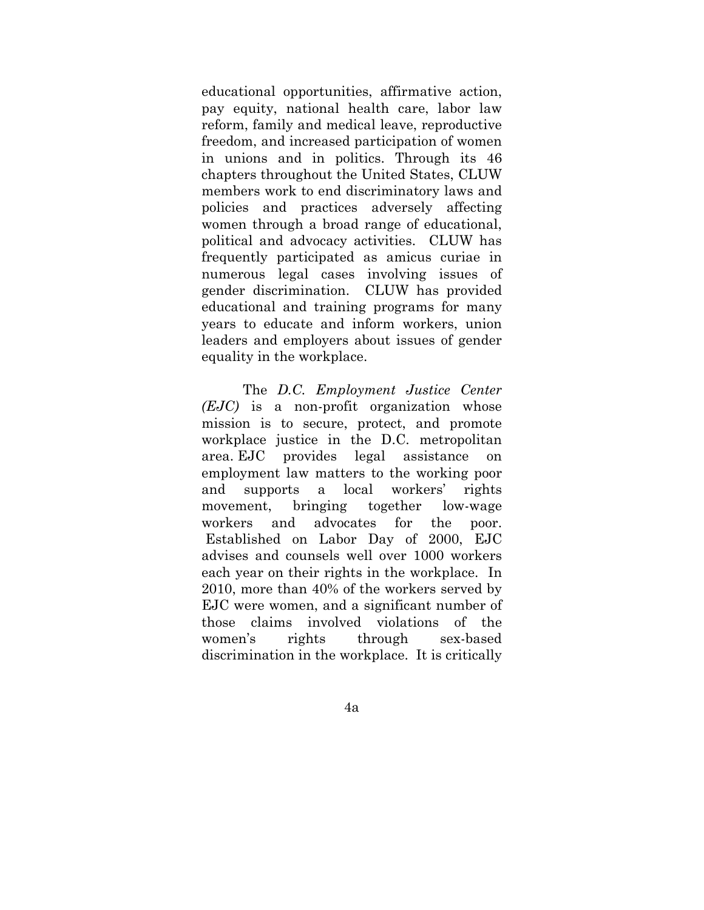educational opportunities, affirmative action, pay equity, national health care, labor law reform, family and medical leave, reproductive freedom, and increased participation of women in unions and in politics. Through its 46 chapters throughout the United States, CLUW members work to end discriminatory laws and policies and practices adversely affecting women through a broad range of educational, political and advocacy activities. CLUW has frequently participated as amicus curiae in numerous legal cases involving issues of gender discrimination. CLUW has provided educational and training programs for many years to educate and inform workers, union leaders and employers about issues of gender equality in the workplace.

 The *D.C. Employment Justice Center (EJC)* is a non-profit organization whose mission is to secure, protect, and promote workplace justice in the D.C. metropolitan area. EJC provides legal assistance on employment law matters to the working poor and supports a local workers' rights movement, bringing together low-wage workers and advocates for the poor. Established on Labor Day of 2000, EJC advises and counsels well over 1000 workers each year on their rights in the workplace. In 2010, more than 40% of the workers served by EJC were women, and a significant number of those claims involved violations of the women's rights through sex-based discrimination in the workplace. It is critically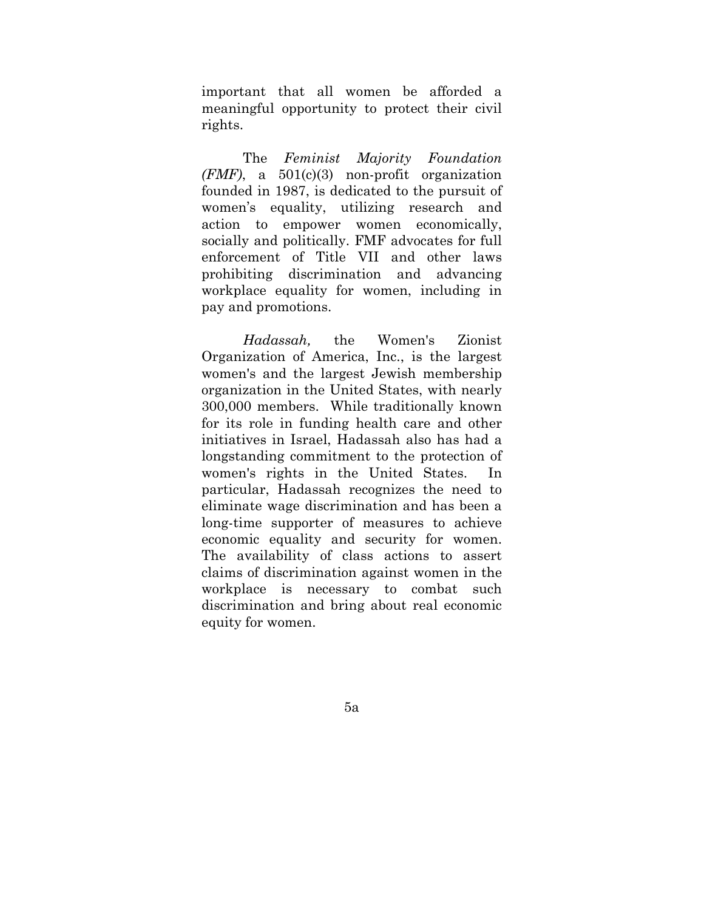important that all women be afforded a meaningful opportunity to protect their civil rights.

 The *Feminist Majority Foundation (FMF)*, a 501(c)(3) non-profit organization founded in 1987, is dedicated to the pursuit of women's equality, utilizing research and action to empower women economically, socially and politically. FMF advocates for full enforcement of Title VII and other laws prohibiting discrimination and advancing workplace equality for women, including in pay and promotions.

 *Hadassah,* the Women's Zionist Organization of America, Inc., is the largest women's and the largest Jewish membership organization in the United States, with nearly 300,000 members. While traditionally known for its role in funding health care and other initiatives in Israel, Hadassah also has had a longstanding commitment to the protection of women's rights in the United States. In particular, Hadassah recognizes the need to eliminate wage discrimination and has been a long-time supporter of measures to achieve economic equality and security for women. The availability of class actions to assert claims of discrimination against women in the workplace is necessary to combat such discrimination and bring about real economic equity for women.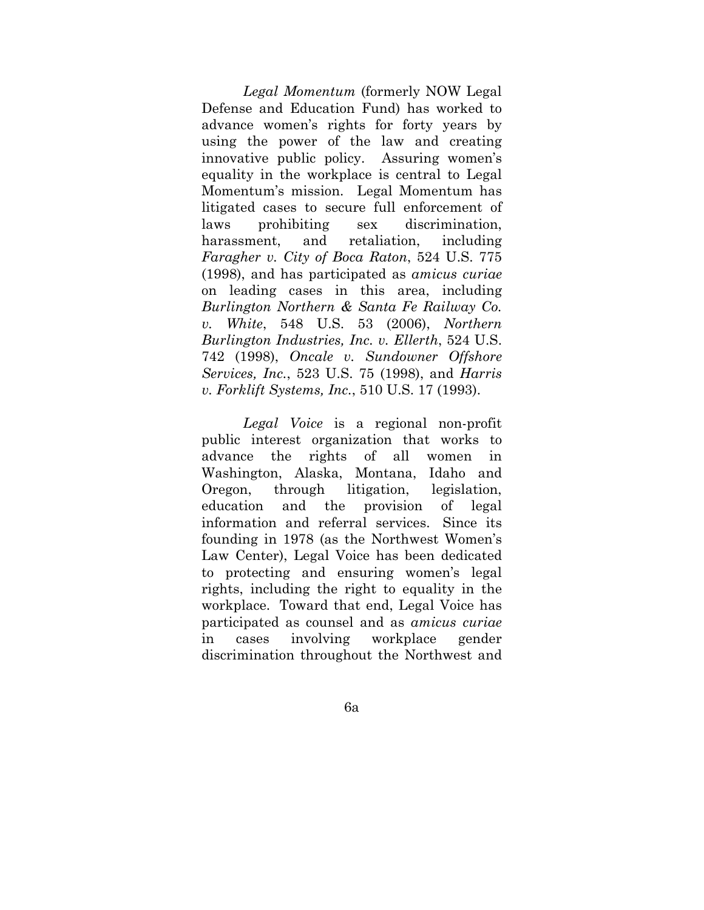*Legal Momentum* (formerly NOW Legal Defense and Education Fund) has worked to advance women's rights for forty years by using the power of the law and creating innovative public policy. Assuring women's equality in the workplace is central to Legal Momentum's mission. Legal Momentum has litigated cases to secure full enforcement of laws prohibiting sex discrimination, harassment, and retaliation, including *Faragher v. City of Boca Raton*, 524 U.S. 775 (1998), and has participated as *amicus curiae* on leading cases in this area, including *Burlington Northern & Santa Fe Railway Co. v. White*, 548 U.S. 53 (2006), *Northern Burlington Industries, Inc. v. Ellerth*, 524 U.S. 742 (1998), *Oncale v. Sundowner Offshore Services, Inc.*, 523 U.S. 75 (1998), and *Harris v. Forklift Systems, Inc.*, 510 U.S. 17 (1993).

 *Legal Voice* is a regional non-profit public interest organization that works to advance the rights of all women in Washington, Alaska, Montana, Idaho and Oregon, through litigation, legislation, education and the provision of legal information and referral services. Since its founding in 1978 (as the Northwest Women's Law Center), Legal Voice has been dedicated to protecting and ensuring women's legal rights, including the right to equality in the workplace. Toward that end, Legal Voice has participated as counsel and as *amicus curiae*  in cases involving workplace gender discrimination throughout the Northwest and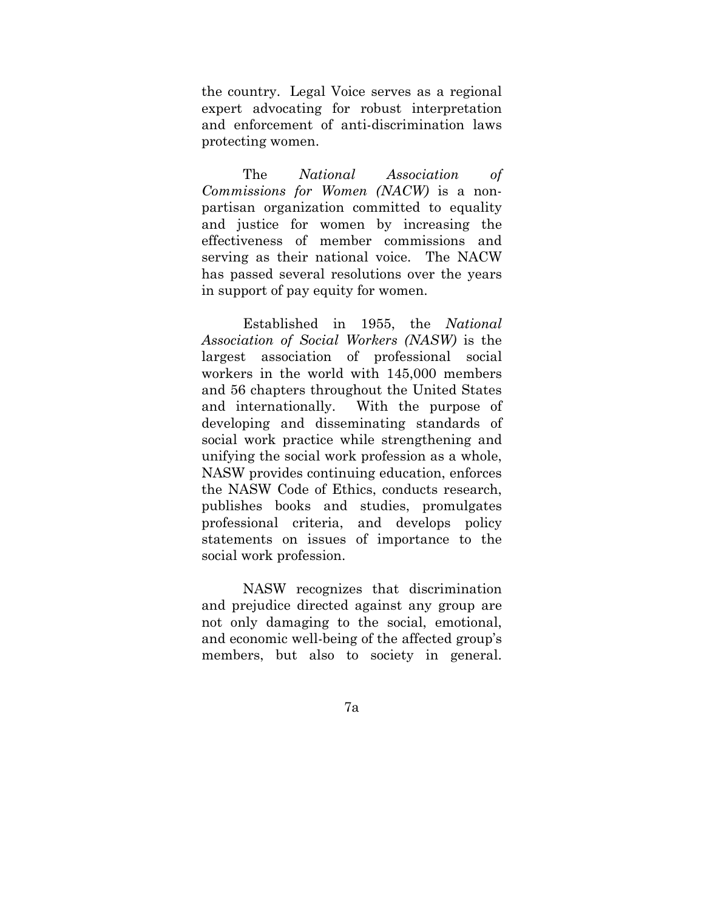the country. Legal Voice serves as a regional expert advocating for robust interpretation and enforcement of anti-discrimination laws protecting women.

 The *National Association of Commissions for Women (NACW)* is a nonpartisan organization committed to equality and justice for women by increasing the effectiveness of member commissions and serving as their national voice. The NACW has passed several resolutions over the years in support of pay equity for women.

 Established in 1955, the *National Association of Social Workers (NASW)* is the largest association of professional social workers in the world with 145,000 members and 56 chapters throughout the United States and internationally. With the purpose of developing and disseminating standards of social work practice while strengthening and unifying the social work profession as a whole, NASW provides continuing education, enforces the NASW Code of Ethics, conducts research, publishes books and studies, promulgates professional criteria, and develops policy statements on issues of importance to the social work profession.

 NASW recognizes that discrimination and prejudice directed against any group are not only damaging to the social, emotional, and economic well-being of the affected group's members, but also to society in general.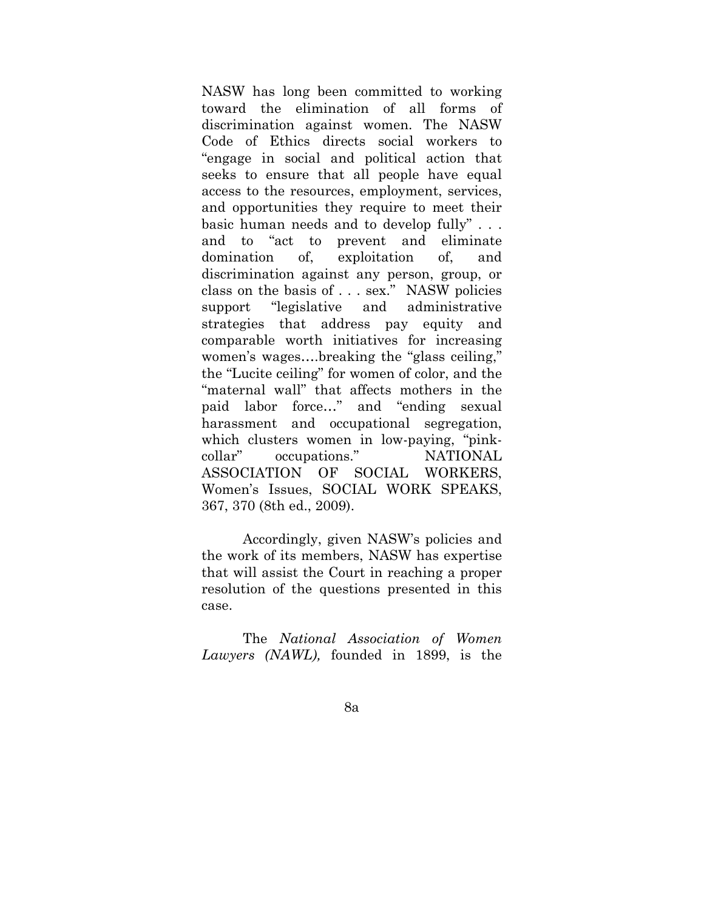NASW has long been committed to working toward the elimination of all forms of discrimination against women. The NASW Code of Ethics directs social workers to "engage in social and political action that seeks to ensure that all people have equal access to the resources, employment, services, and opportunities they require to meet their basic human needs and to develop fully" . . . and to "act to prevent and eliminate domination of, exploitation of, and discrimination against any person, group, or class on the basis of . . . sex." NASW policies support "legislative and administrative strategies that address pay equity and comparable worth initiatives for increasing women's wages….breaking the "glass ceiling," the "Lucite ceiling" for women of color, and the "maternal wall" that affects mothers in the paid labor force…" and "ending sexual harassment and occupational segregation, which clusters women in low-paying, "pinkcollar" occupations." NATIONAL ASSOCIATION OF SOCIAL WORKERS, Women's Issues, SOCIAL WORK SPEAKS, 367, 370 (8th ed., 2009).

 Accordingly, given NASW's policies and the work of its members, NASW has expertise that will assist the Court in reaching a proper resolution of the questions presented in this case.

 The *National Association of Women Lawyers (NAWL),* founded in 1899, is the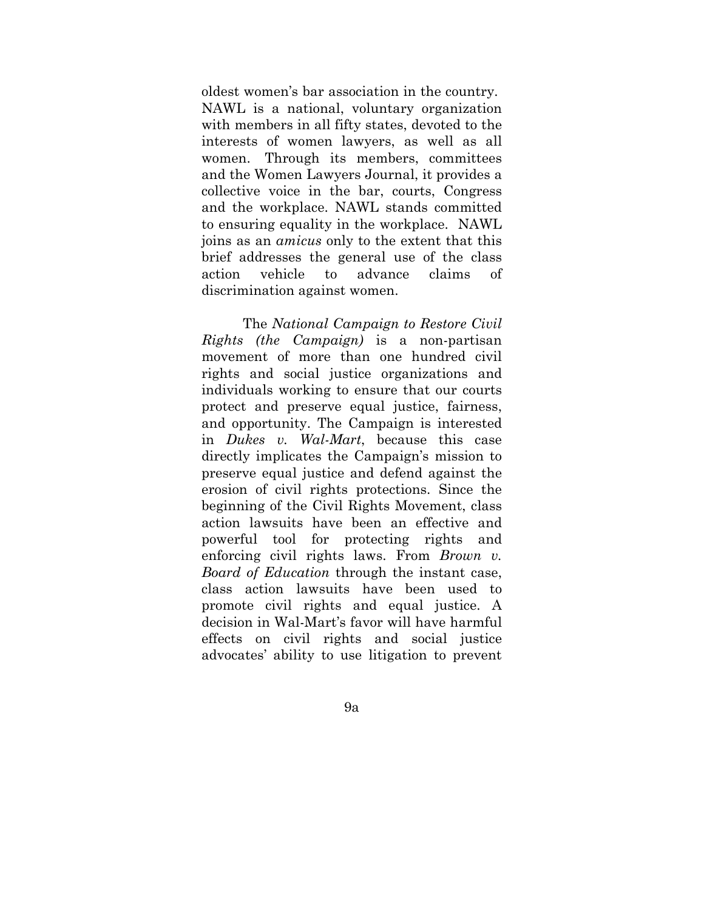oldest women's bar association in the country. NAWL is a national, voluntary organization with members in all fifty states, devoted to the interests of women lawyers, as well as all women. Through its members, committees and the Women Lawyers Journal, it provides a collective voice in the bar, courts, Congress and the workplace. NAWL stands committed to ensuring equality in the workplace. NAWL joins as an *amicus* only to the extent that this brief addresses the general use of the class action vehicle to advance claims of discrimination against women.

 The *National Campaign to Restore Civil Rights (the Campaign)* is a non-partisan movement of more than one hundred civil rights and social justice organizations and individuals working to ensure that our courts protect and preserve equal justice, fairness, and opportunity. The Campaign is interested in *Dukes v. Wal-Mart*, because this case directly implicates the Campaign's mission to preserve equal justice and defend against the erosion of civil rights protections. Since the beginning of the Civil Rights Movement, class action lawsuits have been an effective and powerful tool for protecting rights and enforcing civil rights laws. From *Brown v. Board of Education* through the instant case, class action lawsuits have been used to promote civil rights and equal justice. A decision in Wal-Mart's favor will have harmful effects on civil rights and social justice advocates' ability to use litigation to prevent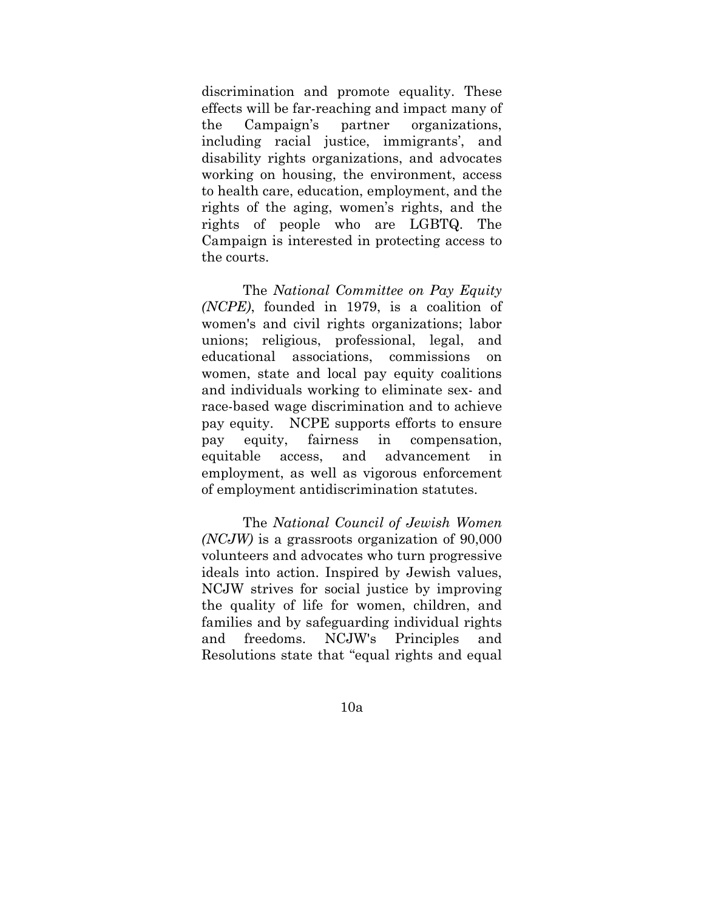discrimination and promote equality. These effects will be far-reaching and impact many of the Campaign's partner organizations, including racial justice, immigrants', and disability rights organizations, and advocates working on housing, the environment, access to health care, education, employment, and the rights of the aging, women's rights, and the rights of people who are LGBTQ. The Campaign is interested in protecting access to the courts.

 The *National Committee on Pay Equity (NCPE)*, founded in 1979, is a coalition of women's and civil rights organizations; labor unions; religious, professional, legal, and educational associations, commissions on women, state and local pay equity coalitions and individuals working to eliminate sex- and race-based wage discrimination and to achieve pay equity. NCPE supports efforts to ensure pay equity, fairness in compensation, equitable access, and advancement in employment, as well as vigorous enforcement of employment antidiscrimination statutes.

 The *National Council of Jewish Women (NCJW)* is a grassroots organization of 90,000 volunteers and advocates who turn progressive ideals into action. Inspired by Jewish values, NCJW strives for social justice by improving the quality of life for women, children, and families and by safeguarding individual rights and freedoms. NCJW's Principles and Resolutions state that "equal rights and equal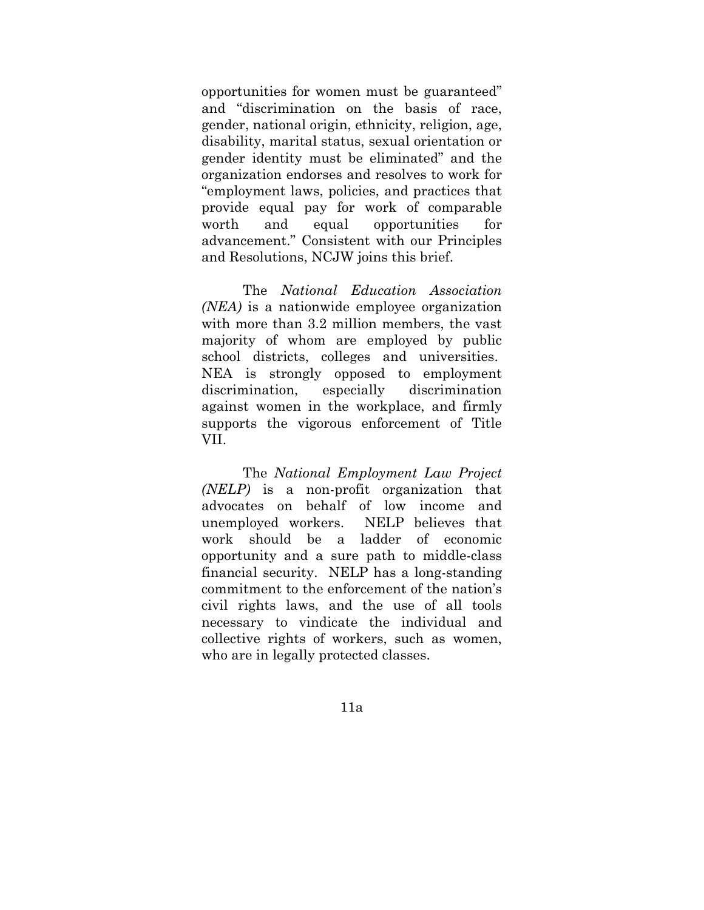opportunities for women must be guaranteed" and "discrimination on the basis of race, gender, national origin, ethnicity, religion, age, disability, marital status, sexual orientation or gender identity must be eliminated" and the organization endorses and resolves to work for "employment laws, policies, and practices that provide equal pay for work of comparable worth and equal opportunities for advancement." Consistent with our Principles and Resolutions, NCJW joins this brief.

 The *National Education Association (NEA)* is a nationwide employee organization with more than 3.2 million members, the vast majority of whom are employed by public school districts, colleges and universities. NEA is strongly opposed to employment discrimination, especially discrimination against women in the workplace, and firmly supports the vigorous enforcement of Title VII.

 The *National Employment Law Project (NELP)* is a non-profit organization that advocates on behalf of low income and unemployed workers. NELP believes that work should be a ladder of economic opportunity and a sure path to middle-class financial security. NELP has a long-standing commitment to the enforcement of the nation's civil rights laws, and the use of all tools necessary to vindicate the individual and collective rights of workers, such as women, who are in legally protected classes.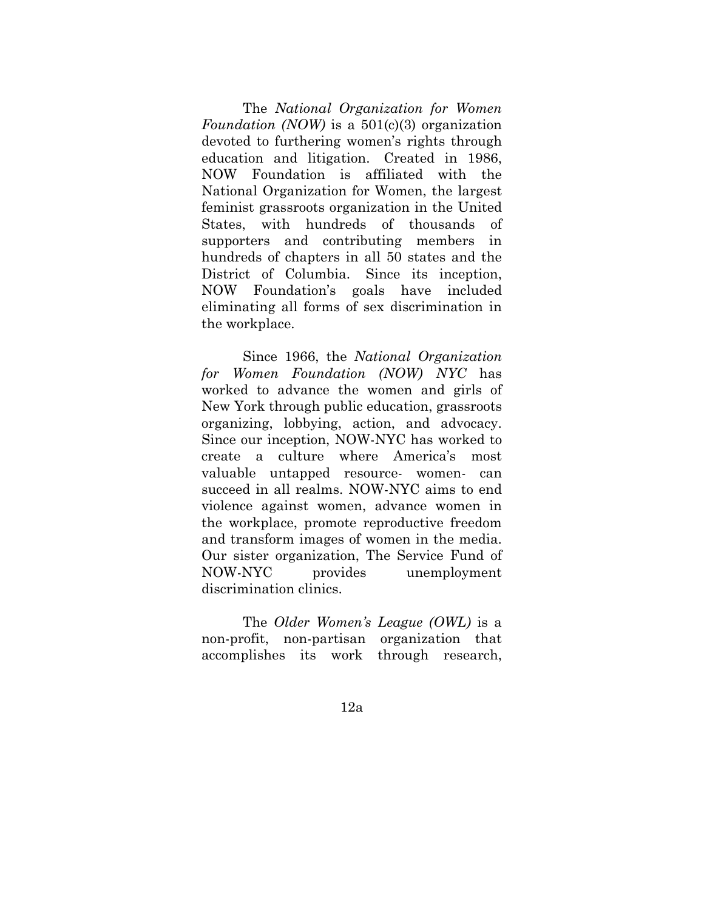The *National Organization for Women Foundation (NOW)* is a 501(c)(3) organization devoted to furthering women's rights through education and litigation. Created in 1986, NOW Foundation is affiliated with the National Organization for Women, the largest feminist grassroots organization in the United States, with hundreds of thousands of supporters and contributing members in hundreds of chapters in all 50 states and the District of Columbia. Since its inception, NOW Foundation's goals have included eliminating all forms of sex discrimination in the workplace.

 Since 1966, the *National Organization for Women Foundation (NOW) NYC* has worked to advance the women and girls of New York through public education, grassroots organizing, lobbying, action, and advocacy. Since our inception, NOW-NYC has worked to create a culture where America's most valuable untapped resource- women- can succeed in all realms. NOW-NYC aims to end violence against women, advance women in the workplace, promote reproductive freedom and transform images of women in the media. Our sister organization, The Service Fund of NOW-NYC provides unemployment discrimination clinics.

 The *Older Women's League (OWL)* is a non-profit, non-partisan organization that accomplishes its work through research,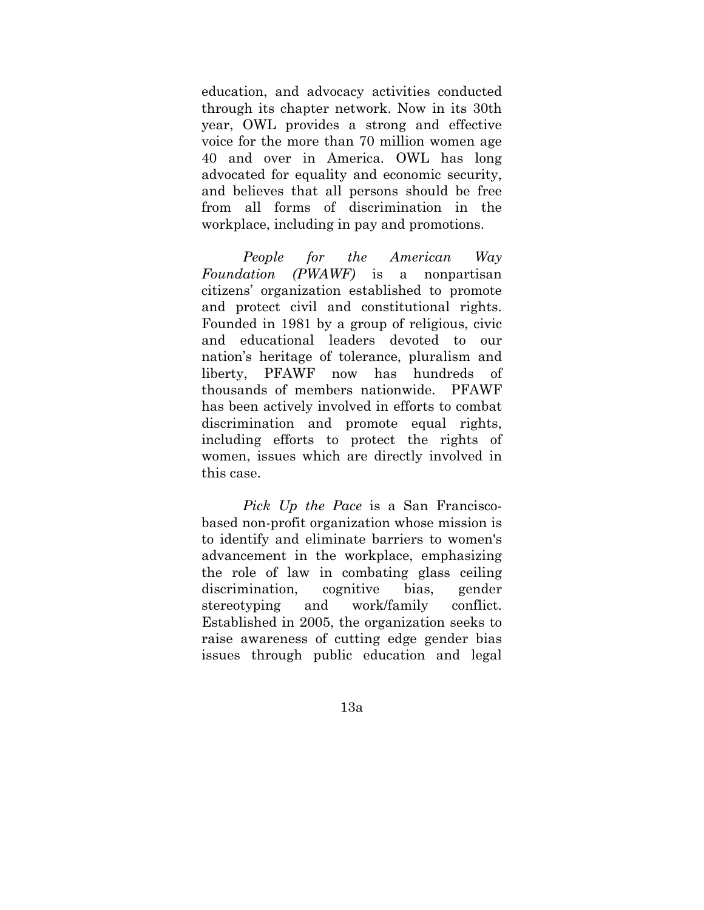education, and advocacy activities conducted through its chapter network. Now in its 30th year, OWL provides a strong and effective voice for the more than 70 million women age 40 and over in America. OWL has long advocated for equality and economic security, and believes that all persons should be free from all forms of discrimination in the workplace, including in pay and promotions.

 *People for the American Way Foundation (PWAWF)* is a nonpartisan citizens' organization established to promote and protect civil and constitutional rights. Founded in 1981 by a group of religious, civic and educational leaders devoted to our nation's heritage of tolerance, pluralism and liberty, PFAWF now has hundreds of thousands of members nationwide. PFAWF has been actively involved in efforts to combat discrimination and promote equal rights, including efforts to protect the rights of women, issues which are directly involved in this case.

 *Pick Up the Pace* is a San Franciscobased non-profit organization whose mission is to identify and eliminate barriers to women's advancement in the workplace, emphasizing the role of law in combating glass ceiling discrimination, cognitive bias, gender stereotyping and work/family conflict. Established in 2005, the organization seeks to raise awareness of cutting edge gender bias issues through public education and legal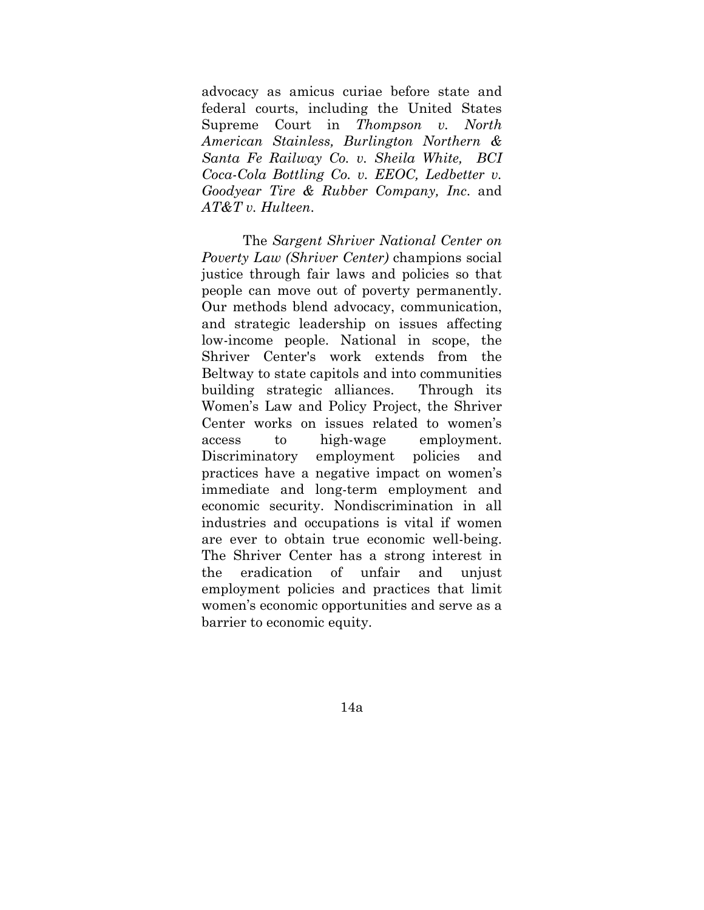advocacy as amicus curiae before state and federal courts, including the United States Supreme Court in *Thompson v. North American Stainless, Burlington Northern & Santa Fe Railway Co. v. Sheila White, BCI Coca-Cola Bottling Co. v. EEOC, Ledbetter v. Goodyear Tire & Rubber Company, Inc*. and *AT&T v. Hulteen*.

The *Sargent Shriver National Center on Poverty Law (Shriver Center)* champions social justice through fair laws and policies so that people can move out of poverty permanently. Our methods blend advocacy, communication, and strategic leadership on issues affecting low-income people. National in scope, the Shriver Center's work extends from the Beltway to state capitols and into communities building strategic alliances. Through its Women's Law and Policy Project, the Shriver Center works on issues related to women's access to high-wage employment. Discriminatory employment policies and practices have a negative impact on women's immediate and long-term employment and economic security. Nondiscrimination in all industries and occupations is vital if women are ever to obtain true economic well-being. The Shriver Center has a strong interest in the eradication of unfair and unjust employment policies and practices that limit women's economic opportunities and serve as a barrier to economic equity.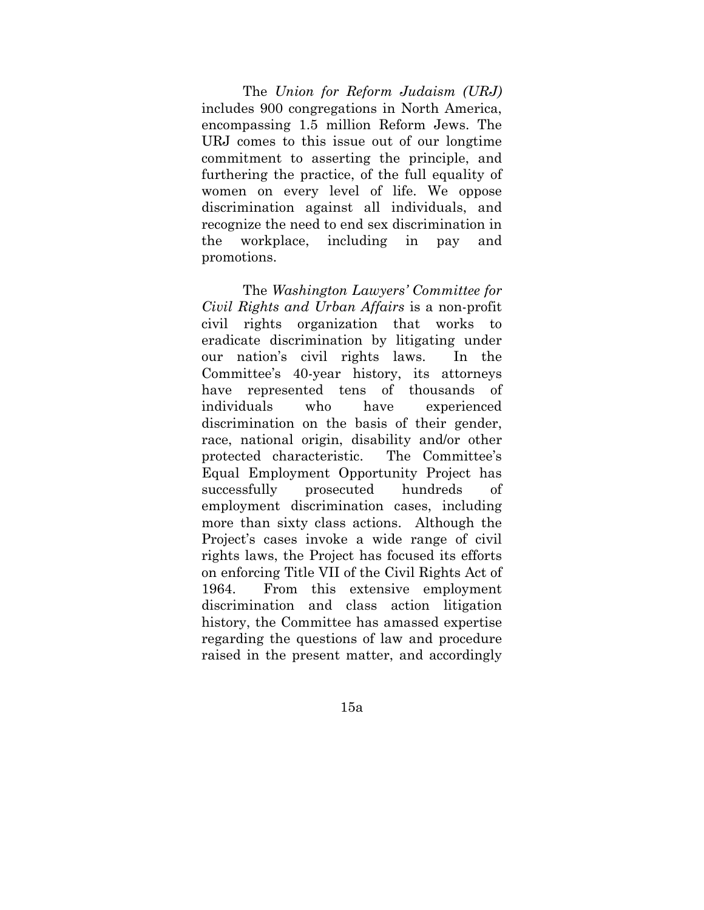The *Union for Reform Judaism (URJ)* includes 900 congregations in North America, encompassing 1.5 million Reform Jews. The URJ comes to this issue out of our longtime commitment to asserting the principle, and furthering the practice, of the full equality of women on every level of life. We oppose discrimination against all individuals, and recognize the need to end sex discrimination in the workplace, including in pay and promotions.

 The *Washington Lawyers' Committee for Civil Rights and Urban Affairs* is a non-profit civil rights organization that works to eradicate discrimination by litigating under our nation's civil rights laws. In the Committee's 40-year history, its attorneys have represented tens of thousands of individuals who have experienced discrimination on the basis of their gender, race, national origin, disability and/or other protected characteristic. The Committee's Equal Employment Opportunity Project has successfully prosecuted hundreds of employment discrimination cases, including more than sixty class actions. Although the Project's cases invoke a wide range of civil rights laws, the Project has focused its efforts on enforcing Title VII of the Civil Rights Act of 1964. From this extensive employment discrimination and class action litigation history, the Committee has amassed expertise regarding the questions of law and procedure raised in the present matter, and accordingly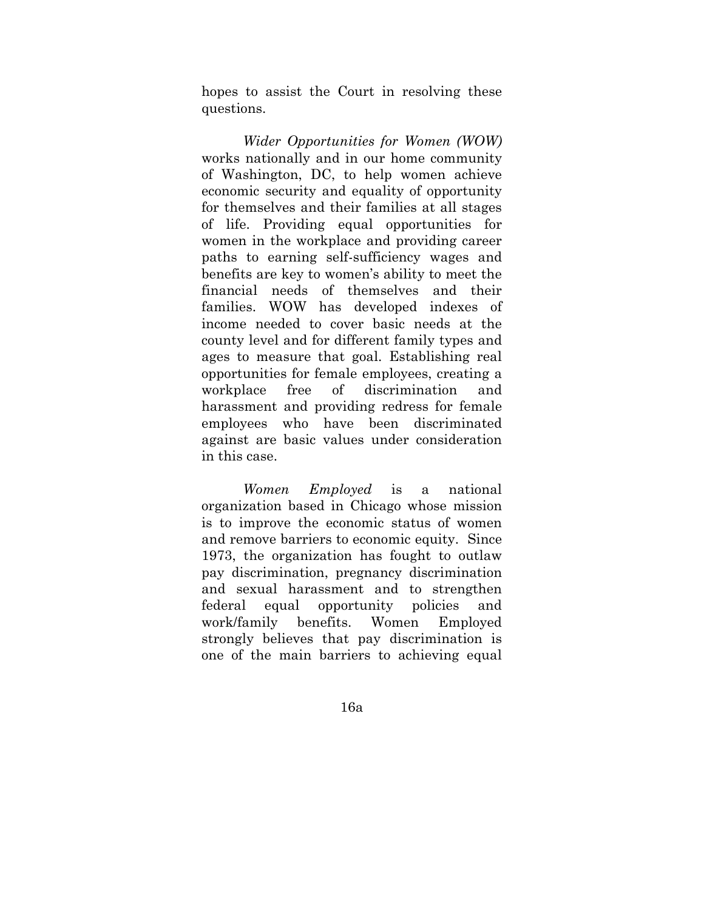hopes to assist the Court in resolving these questions.

 *Wider Opportunities for Women (WOW)* works nationally and in our home community of Washington, DC, to help women achieve economic security and equality of opportunity for themselves and their families at all stages of life. Providing equal opportunities for women in the workplace and providing career paths to earning self-sufficiency wages and benefits are key to women's ability to meet the financial needs of themselves and their families. WOW has developed indexes of income needed to cover basic needs at the county level and for different family types and ages to measure that goal. Establishing real opportunities for female employees, creating a workplace free of discrimination and harassment and providing redress for female employees who have been discriminated against are basic values under consideration in this case.

 *Women Employed* is a national organization based in Chicago whose mission is to improve the economic status of women and remove barriers to economic equity. Since 1973, the organization has fought to outlaw pay discrimination, pregnancy discrimination and sexual harassment and to strengthen federal equal opportunity policies and work/family benefits. Women Employed strongly believes that pay discrimination is one of the main barriers to achieving equal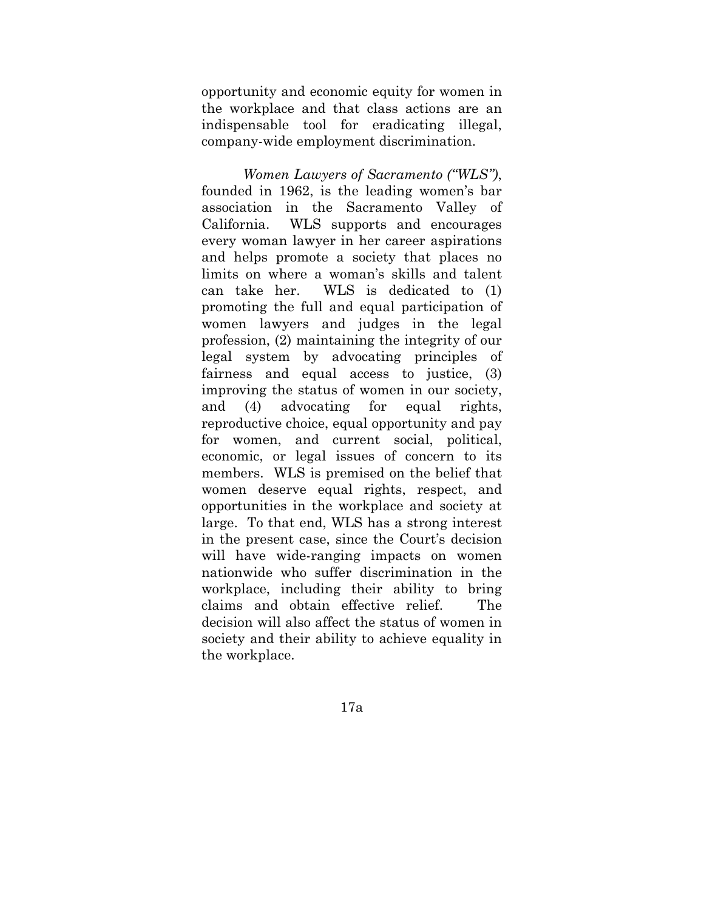opportunity and economic equity for women in the workplace and that class actions are an indispensable tool for eradicating illegal, company-wide employment discrimination.

 *Women Lawyers of Sacramento ("WLS")*, founded in 1962, is the leading women's bar association in the Sacramento Valley of California. WLS supports and encourages every woman lawyer in her career aspirations and helps promote a society that places no limits on where a woman's skills and talent can take her. WLS is dedicated to (1) promoting the full and equal participation of women lawyers and judges in the legal profession, (2) maintaining the integrity of our legal system by advocating principles of fairness and equal access to justice, (3) improving the status of women in our society, and (4) advocating for equal rights, reproductive choice, equal opportunity and pay for women, and current social, political, economic, or legal issues of concern to its members. WLS is premised on the belief that women deserve equal rights, respect, and opportunities in the workplace and society at large. To that end, WLS has a strong interest in the present case, since the Court's decision will have wide-ranging impacts on women nationwide who suffer discrimination in the workplace, including their ability to bring claims and obtain effective relief. The decision will also affect the status of women in society and their ability to achieve equality in the workplace.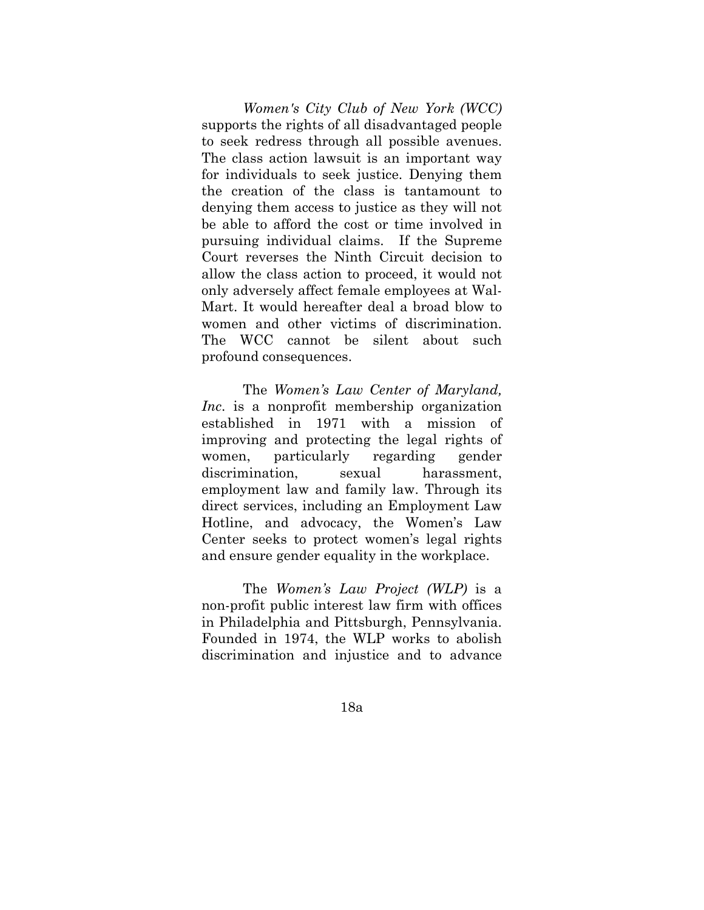*Women's City Club of New York (WCC)* supports the rights of all disadvantaged people to seek redress through all possible avenues. The class action lawsuit is an important way for individuals to seek justice. Denying them the creation of the class is tantamount to denying them access to justice as they will not be able to afford the cost or time involved in pursuing individual claims. If the Supreme Court reverses the Ninth Circuit decision to allow the class action to proceed, it would not only adversely affect female employees at Wal-Mart. It would hereafter deal a broad blow to women and other victims of discrimination. The WCC cannot be silent about such profound consequences.

 The *Women's Law Center of Maryland, Inc*. is a nonprofit membership organization established in 1971 with a mission of improving and protecting the legal rights of women, particularly regarding gender discrimination, sexual harassment, employment law and family law. Through its direct services, including an Employment Law Hotline, and advocacy, the Women's Law Center seeks to protect women's legal rights and ensure gender equality in the workplace.

 The *Women's Law Project (WLP)* is a non-profit public interest law firm with offices in Philadelphia and Pittsburgh, Pennsylvania. Founded in 1974, the WLP works to abolish discrimination and injustice and to advance